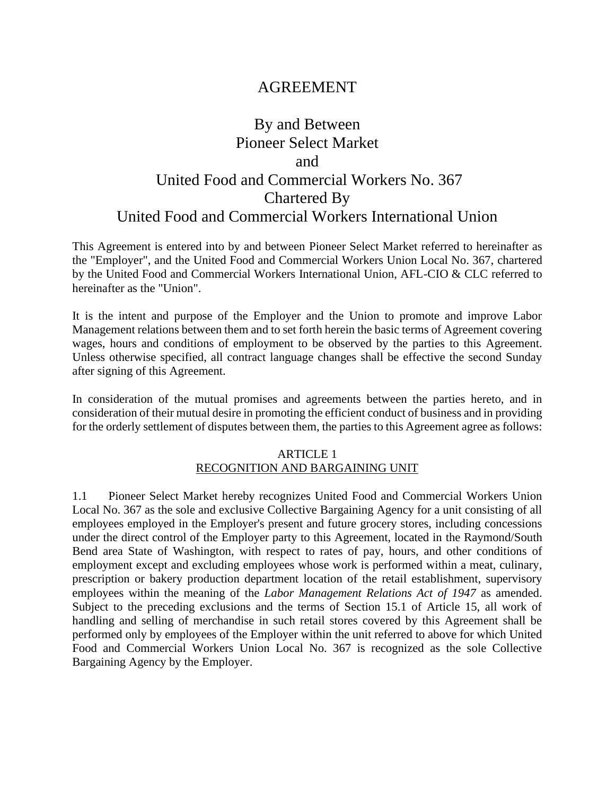# AGREEMENT

# By and Between Pioneer Select Market and United Food and Commercial Workers No. 367 Chartered By United Food and Commercial Workers International Union

This Agreement is entered into by and between Pioneer Select Market referred to hereinafter as the "Employer", and the United Food and Commercial Workers Union Local No. 367, chartered by the United Food and Commercial Workers International Union, AFL-CIO & CLC referred to hereinafter as the "Union".

It is the intent and purpose of the Employer and the Union to promote and improve Labor Management relations between them and to set forth herein the basic terms of Agreement covering wages, hours and conditions of employment to be observed by the parties to this Agreement. Unless otherwise specified, all contract language changes shall be effective the second Sunday after signing of this Agreement.

In consideration of the mutual promises and agreements between the parties hereto, and in consideration of their mutual desire in promoting the efficient conduct of business and in providing for the orderly settlement of disputes between them, the parties to this Agreement agree as follows:

#### ARTICLE 1 RECOGNITION AND BARGAINING UNIT

1.1 Pioneer Select Market hereby recognizes United Food and Commercial Workers Union Local No. 367 as the sole and exclusive Collective Bargaining Agency for a unit consisting of all employees employed in the Employer's present and future grocery stores, including concessions under the direct control of the Employer party to this Agreement, located in the Raymond/South Bend area State of Washington, with respect to rates of pay, hours, and other conditions of employment except and excluding employees whose work is performed within a meat, culinary, prescription or bakery production department location of the retail establishment, supervisory employees within the meaning of the *Labor Management Relations Act of 1947* as amended. Subject to the preceding exclusions and the terms of Section 15.1 of Article 15, all work of handling and selling of merchandise in such retail stores covered by this Agreement shall be performed only by employees of the Employer within the unit referred to above for which United Food and Commercial Workers Union Local No. 367 is recognized as the sole Collective Bargaining Agency by the Employer.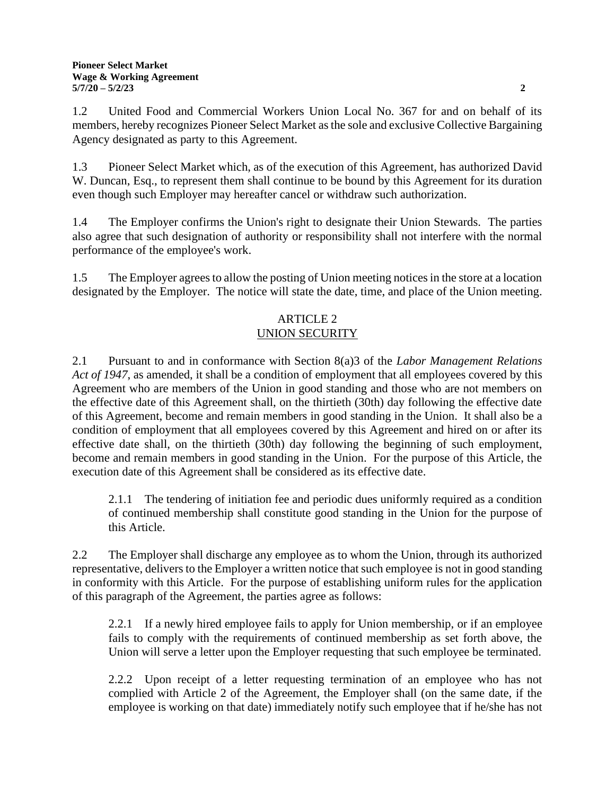1.2 United Food and Commercial Workers Union Local No. 367 for and on behalf of its members, hereby recognizes Pioneer Select Market as the sole and exclusive Collective Bargaining Agency designated as party to this Agreement.

1.3 Pioneer Select Market which, as of the execution of this Agreement, has authorized David W. Duncan, Esq., to represent them shall continue to be bound by this Agreement for its duration even though such Employer may hereafter cancel or withdraw such authorization.

1.4 The Employer confirms the Union's right to designate their Union Stewards. The parties also agree that such designation of authority or responsibility shall not interfere with the normal performance of the employee's work.

1.5 The Employer agrees to allow the posting of Union meeting notices in the store at a location designated by the Employer. The notice will state the date, time, and place of the Union meeting.

# ARTICLE 2 UNION SECURITY

2.1 Pursuant to and in conformance with Section 8(a)3 of the *Labor Management Relations Act of 1947*, as amended, it shall be a condition of employment that all employees covered by this Agreement who are members of the Union in good standing and those who are not members on the effective date of this Agreement shall, on the thirtieth (30th) day following the effective date of this Agreement, become and remain members in good standing in the Union. It shall also be a condition of employment that all employees covered by this Agreement and hired on or after its effective date shall, on the thirtieth (30th) day following the beginning of such employment, become and remain members in good standing in the Union. For the purpose of this Article, the execution date of this Agreement shall be considered as its effective date.

2.1.1 The tendering of initiation fee and periodic dues uniformly required as a condition of continued membership shall constitute good standing in the Union for the purpose of this Article.

2.2 The Employer shall discharge any employee as to whom the Union, through its authorized representative, delivers to the Employer a written notice that such employee is not in good standing in conformity with this Article. For the purpose of establishing uniform rules for the application of this paragraph of the Agreement, the parties agree as follows:

2.2.1 If a newly hired employee fails to apply for Union membership, or if an employee fails to comply with the requirements of continued membership as set forth above, the Union will serve a letter upon the Employer requesting that such employee be terminated.

2.2.2 Upon receipt of a letter requesting termination of an employee who has not complied with Article 2 of the Agreement, the Employer shall (on the same date, if the employee is working on that date) immediately notify such employee that if he/she has not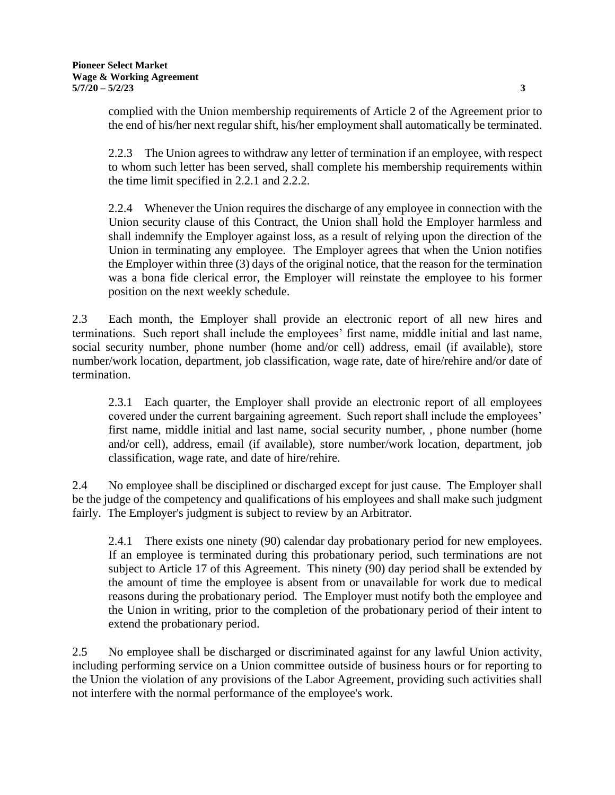2.2.3 The Union agrees to withdraw any letter of termination if an employee, with respect to whom such letter has been served, shall complete his membership requirements within the time limit specified in 2.2.1 and 2.2.2.

2.2.4 Whenever the Union requires the discharge of any employee in connection with the Union security clause of this Contract, the Union shall hold the Employer harmless and shall indemnify the Employer against loss, as a result of relying upon the direction of the Union in terminating any employee. The Employer agrees that when the Union notifies the Employer within three (3) days of the original notice, that the reason for the termination was a bona fide clerical error, the Employer will reinstate the employee to his former position on the next weekly schedule.

2.3 Each month, the Employer shall provide an electronic report of all new hires and terminations. Such report shall include the employees' first name, middle initial and last name, social security number, phone number (home and/or cell) address, email (if available), store number/work location, department, job classification, wage rate, date of hire/rehire and/or date of termination.

2.3.1 Each quarter, the Employer shall provide an electronic report of all employees covered under the current bargaining agreement. Such report shall include the employees' first name, middle initial and last name, social security number, , phone number (home and/or cell), address, email (if available), store number/work location, department, job classification, wage rate, and date of hire/rehire.

2.4 No employee shall be disciplined or discharged except for just cause. The Employer shall be the judge of the competency and qualifications of his employees and shall make such judgment fairly. The Employer's judgment is subject to review by an Arbitrator.

2.4.1 There exists one ninety (90) calendar day probationary period for new employees. If an employee is terminated during this probationary period, such terminations are not subject to Article 17 of this Agreement. This ninety (90) day period shall be extended by the amount of time the employee is absent from or unavailable for work due to medical reasons during the probationary period. The Employer must notify both the employee and the Union in writing, prior to the completion of the probationary period of their intent to extend the probationary period.

2.5 No employee shall be discharged or discriminated against for any lawful Union activity, including performing service on a Union committee outside of business hours or for reporting to the Union the violation of any provisions of the Labor Agreement, providing such activities shall not interfere with the normal performance of the employee's work.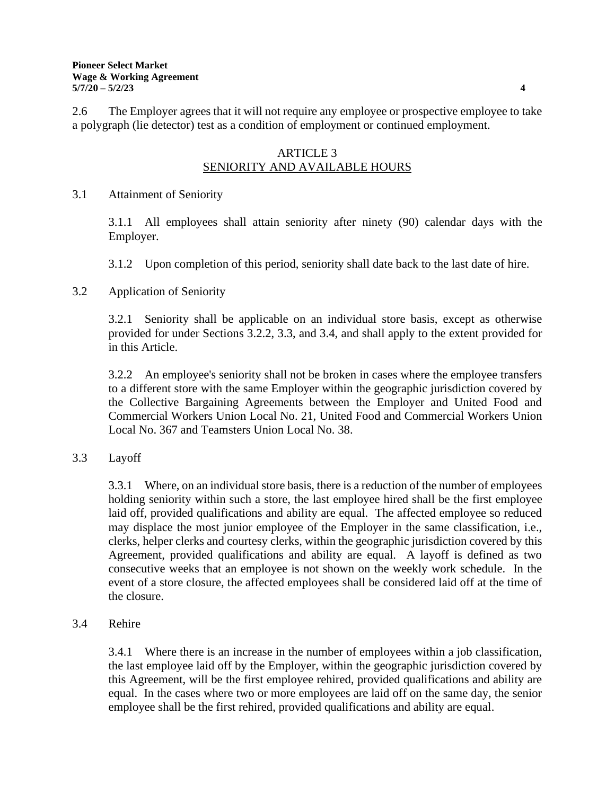2.6 The Employer agrees that it will not require any employee or prospective employee to take a polygraph (lie detector) test as a condition of employment or continued employment.

#### ARTICLE 3 SENIORITY AND AVAILABLE HOURS

#### 3.1 Attainment of Seniority

3.1.1 All employees shall attain seniority after ninety (90) calendar days with the Employer.

3.1.2 Upon completion of this period, seniority shall date back to the last date of hire.

# 3.2 Application of Seniority

3.2.1 Seniority shall be applicable on an individual store basis, except as otherwise provided for under Sections 3.2.2, 3.3, and 3.4, and shall apply to the extent provided for in this Article.

3.2.2 An employee's seniority shall not be broken in cases where the employee transfers to a different store with the same Employer within the geographic jurisdiction covered by the Collective Bargaining Agreements between the Employer and United Food and Commercial Workers Union Local No. 21, United Food and Commercial Workers Union Local No. 367 and Teamsters Union Local No. 38.

# 3.3 Layoff

3.3.1 Where, on an individual store basis, there is a reduction of the number of employees holding seniority within such a store, the last employee hired shall be the first employee laid off, provided qualifications and ability are equal. The affected employee so reduced may displace the most junior employee of the Employer in the same classification, i.e., clerks, helper clerks and courtesy clerks, within the geographic jurisdiction covered by this Agreement, provided qualifications and ability are equal. A layoff is defined as two consecutive weeks that an employee is not shown on the weekly work schedule. In the event of a store closure, the affected employees shall be considered laid off at the time of the closure.

## 3.4 Rehire

3.4.1 Where there is an increase in the number of employees within a job classification, the last employee laid off by the Employer, within the geographic jurisdiction covered by this Agreement, will be the first employee rehired, provided qualifications and ability are equal. In the cases where two or more employees are laid off on the same day, the senior employee shall be the first rehired, provided qualifications and ability are equal.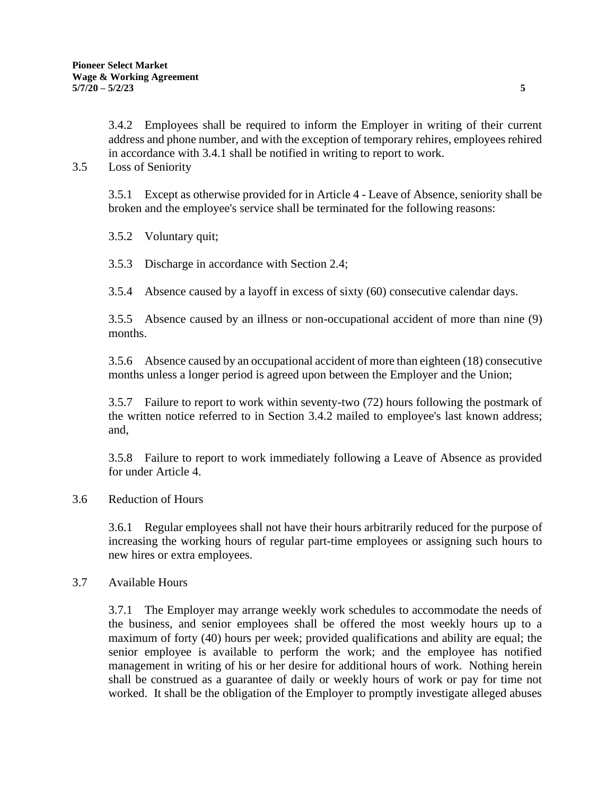3.4.2 Employees shall be required to inform the Employer in writing of their current address and phone number, and with the exception of temporary rehires, employees rehired in accordance with 3.4.1 shall be notified in writing to report to work.

3.5 Loss of Seniority

3.5.1 Except as otherwise provided for in Article 4 - Leave of Absence, seniority shall be broken and the employee's service shall be terminated for the following reasons:

3.5.2 Voluntary quit;

3.5.3 Discharge in accordance with Section 2.4;

3.5.4 Absence caused by a layoff in excess of sixty (60) consecutive calendar days.

3.5.5 Absence caused by an illness or non-occupational accident of more than nine (9) months.

3.5.6 Absence caused by an occupational accident of more than eighteen (18) consecutive months unless a longer period is agreed upon between the Employer and the Union;

3.5.7 Failure to report to work within seventy-two (72) hours following the postmark of the written notice referred to in Section 3.4.2 mailed to employee's last known address; and,

3.5.8 Failure to report to work immediately following a Leave of Absence as provided for under Article 4.

#### 3.6 Reduction of Hours

3.6.1 Regular employees shall not have their hours arbitrarily reduced for the purpose of increasing the working hours of regular part-time employees or assigning such hours to new hires or extra employees.

#### 3.7 Available Hours

3.7.1 The Employer may arrange weekly work schedules to accommodate the needs of the business, and senior employees shall be offered the most weekly hours up to a maximum of forty (40) hours per week; provided qualifications and ability are equal; the senior employee is available to perform the work; and the employee has notified management in writing of his or her desire for additional hours of work. Nothing herein shall be construed as a guarantee of daily or weekly hours of work or pay for time not worked. It shall be the obligation of the Employer to promptly investigate alleged abuses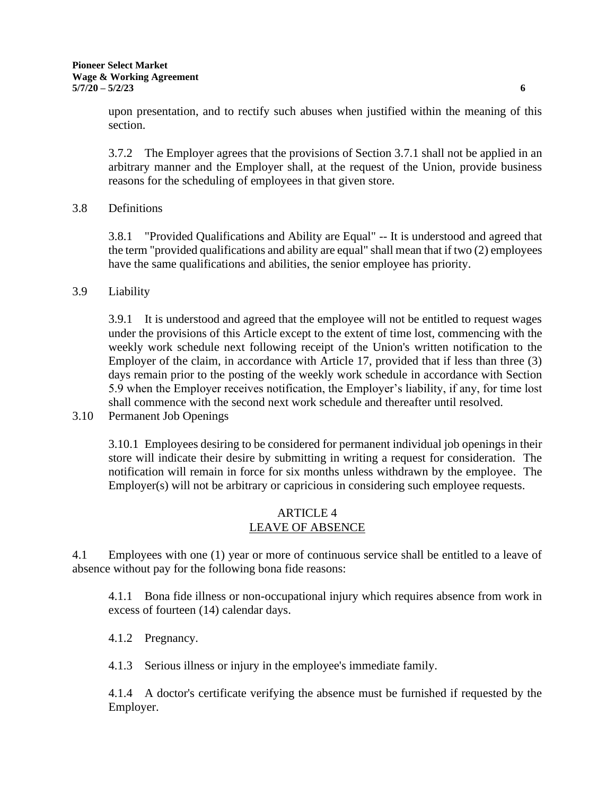upon presentation, and to rectify such abuses when justified within the meaning of this section.

3.7.2 The Employer agrees that the provisions of Section 3.7.1 shall not be applied in an arbitrary manner and the Employer shall, at the request of the Union, provide business reasons for the scheduling of employees in that given store.

## 3.8 Definitions

3.8.1 "Provided Qualifications and Ability are Equal" -- It is understood and agreed that the term "provided qualifications and ability are equal" shall mean that if two (2) employees have the same qualifications and abilities, the senior employee has priority.

3.9 Liability

3.9.1 It is understood and agreed that the employee will not be entitled to request wages under the provisions of this Article except to the extent of time lost, commencing with the weekly work schedule next following receipt of the Union's written notification to the Employer of the claim, in accordance with Article 17, provided that if less than three (3) days remain prior to the posting of the weekly work schedule in accordance with Section 5.9 when the Employer receives notification, the Employer's liability, if any, for time lost shall commence with the second next work schedule and thereafter until resolved.

3.10 Permanent Job Openings

3.10.1 Employees desiring to be considered for permanent individual job openings in their store will indicate their desire by submitting in writing a request for consideration. The notification will remain in force for six months unless withdrawn by the employee. The Employer(s) will not be arbitrary or capricious in considering such employee requests.

#### ARTICLE 4 LEAVE OF ABSENCE

4.1 Employees with one (1) year or more of continuous service shall be entitled to a leave of absence without pay for the following bona fide reasons:

4.1.1 Bona fide illness or non-occupational injury which requires absence from work in excess of fourteen (14) calendar days.

4.1.2 Pregnancy.

4.1.3 Serious illness or injury in the employee's immediate family.

4.1.4 A doctor's certificate verifying the absence must be furnished if requested by the Employer.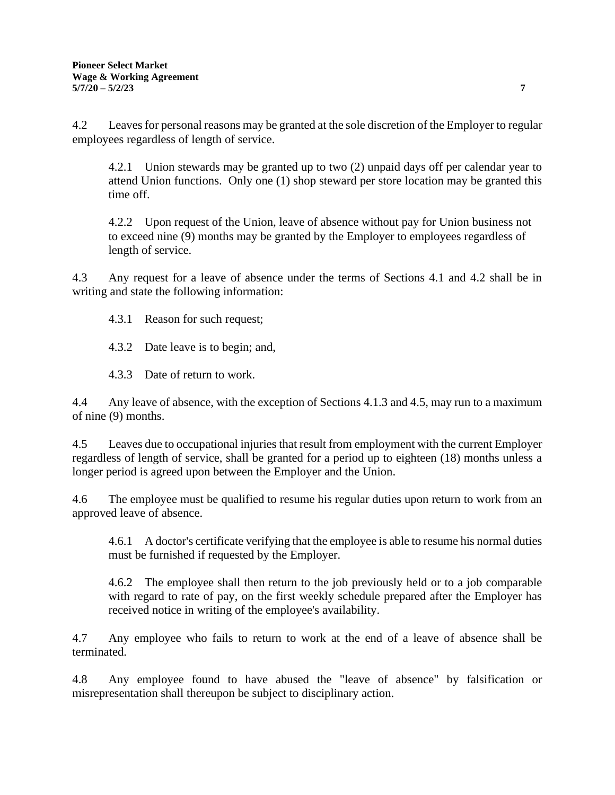4.2 Leaves for personal reasons may be granted at the sole discretion of the Employer to regular employees regardless of length of service.

4.2.1 Union stewards may be granted up to two (2) unpaid days off per calendar year to attend Union functions. Only one (1) shop steward per store location may be granted this time off.

4.2.2 Upon request of the Union, leave of absence without pay for Union business not to exceed nine (9) months may be granted by the Employer to employees regardless of length of service.

4.3 Any request for a leave of absence under the terms of Sections 4.1 and 4.2 shall be in writing and state the following information:

4.3.1 Reason for such request;

4.3.2 Date leave is to begin; and,

4.3.3 Date of return to work.

4.4 Any leave of absence, with the exception of Sections 4.1.3 and 4.5, may run to a maximum of nine (9) months.

4.5 Leaves due to occupational injuries that result from employment with the current Employer regardless of length of service, shall be granted for a period up to eighteen (18) months unless a longer period is agreed upon between the Employer and the Union.

4.6 The employee must be qualified to resume his regular duties upon return to work from an approved leave of absence.

4.6.1 A doctor's certificate verifying that the employee is able to resume his normal duties must be furnished if requested by the Employer.

4.6.2 The employee shall then return to the job previously held or to a job comparable with regard to rate of pay, on the first weekly schedule prepared after the Employer has received notice in writing of the employee's availability.

4.7 Any employee who fails to return to work at the end of a leave of absence shall be terminated.

4.8 Any employee found to have abused the "leave of absence" by falsification or misrepresentation shall thereupon be subject to disciplinary action.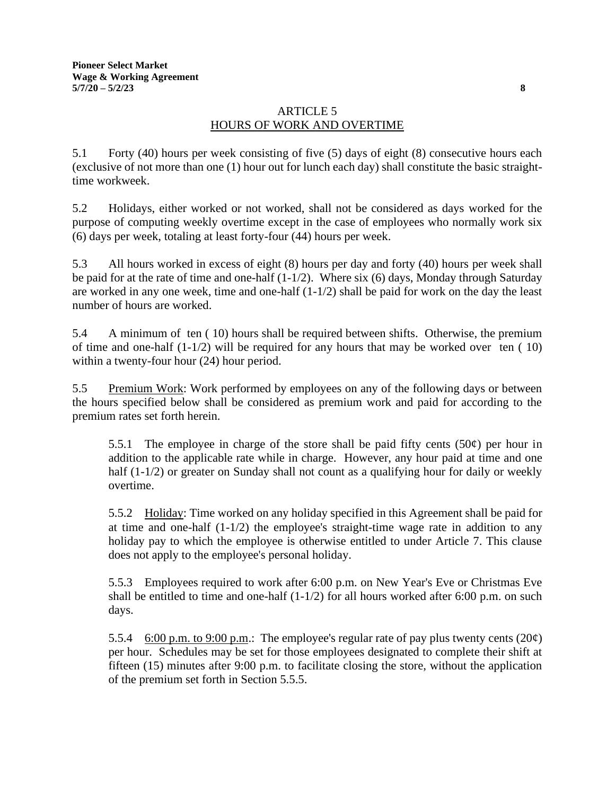# ARTICLE 5 HOURS OF WORK AND OVERTIME

5.1 Forty (40) hours per week consisting of five (5) days of eight (8) consecutive hours each (exclusive of not more than one (1) hour out for lunch each day) shall constitute the basic straighttime workweek.

5.2 Holidays, either worked or not worked, shall not be considered as days worked for the purpose of computing weekly overtime except in the case of employees who normally work six (6) days per week, totaling at least forty-four (44) hours per week.

5.3 All hours worked in excess of eight (8) hours per day and forty (40) hours per week shall be paid for at the rate of time and one-half (1-1/2). Where six (6) days, Monday through Saturday are worked in any one week, time and one-half (1-1/2) shall be paid for work on the day the least number of hours are worked.

5.4 A minimum of ten ( 10) hours shall be required between shifts. Otherwise, the premium of time and one-half (1-1/2) will be required for any hours that may be worked over ten ( 10) within a twenty-four hour (24) hour period.

5.5 Premium Work: Work performed by employees on any of the following days or between the hours specified below shall be considered as premium work and paid for according to the premium rates set forth herein.

5.5.1 The employee in charge of the store shall be paid fifty cents (50 $\varphi$ ) per hour in addition to the applicable rate while in charge. However, any hour paid at time and one half (1-1/2) or greater on Sunday shall not count as a qualifying hour for daily or weekly overtime.

5.5.2 Holiday: Time worked on any holiday specified in this Agreement shall be paid for at time and one-half  $(1-1/2)$  the employee's straight-time wage rate in addition to any holiday pay to which the employee is otherwise entitled to under Article 7. This clause does not apply to the employee's personal holiday.

5.5.3 Employees required to work after 6:00 p.m. on New Year's Eve or Christmas Eve shall be entitled to time and one-half  $(1-1/2)$  for all hours worked after 6:00 p.m. on such days.

5.5.4 6:00 p.m. to 9:00 p.m.: The employee's regular rate of pay plus twenty cents  $(20\phi)$ per hour. Schedules may be set for those employees designated to complete their shift at fifteen (15) minutes after 9:00 p.m. to facilitate closing the store, without the application of the premium set forth in Section 5.5.5.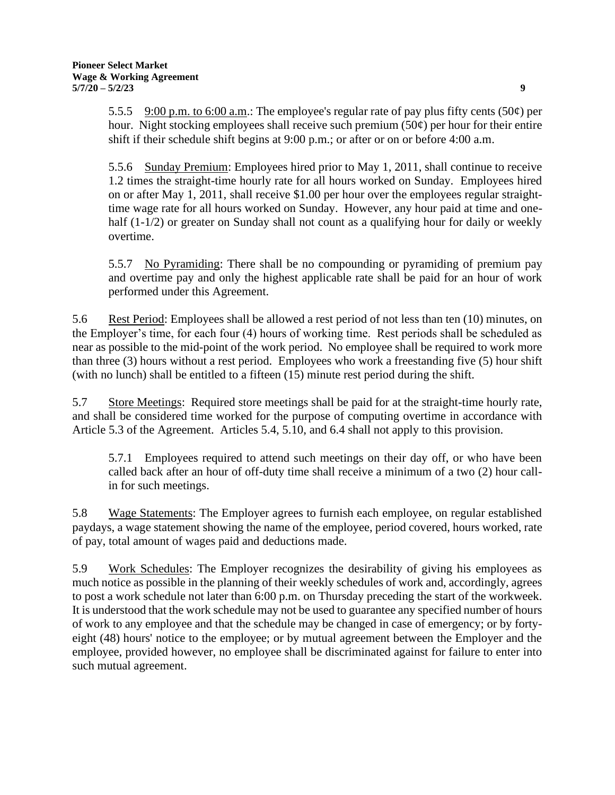5.5.5 9:00 p.m. to 6:00 a.m.: The employee's regular rate of pay plus fifty cents (50 $\phi$ ) per hour. Night stocking employees shall receive such premium  $(50¢)$  per hour for their entire shift if their schedule shift begins at 9:00 p.m.; or after or on or before 4:00 a.m.

5.5.6 Sunday Premium: Employees hired prior to May 1, 2011, shall continue to receive 1.2 times the straight-time hourly rate for all hours worked on Sunday. Employees hired on or after May 1, 2011, shall receive \$1.00 per hour over the employees regular straighttime wage rate for all hours worked on Sunday. However, any hour paid at time and onehalf (1-1/2) or greater on Sunday shall not count as a qualifying hour for daily or weekly overtime.

5.5.7 No Pyramiding: There shall be no compounding or pyramiding of premium pay and overtime pay and only the highest applicable rate shall be paid for an hour of work performed under this Agreement.

5.6 Rest Period: Employees shall be allowed a rest period of not less than ten (10) minutes, on the Employer's time, for each four (4) hours of working time. Rest periods shall be scheduled as near as possible to the mid-point of the work period. No employee shall be required to work more than three (3) hours without a rest period. Employees who work a freestanding five (5) hour shift (with no lunch) shall be entitled to a fifteen (15) minute rest period during the shift.

5.7 Store Meetings: Required store meetings shall be paid for at the straight-time hourly rate, and shall be considered time worked for the purpose of computing overtime in accordance with Article 5.3 of the Agreement. Articles 5.4, 5.10, and 6.4 shall not apply to this provision.

5.7.1 Employees required to attend such meetings on their day off, or who have been called back after an hour of off-duty time shall receive a minimum of a two (2) hour callin for such meetings.

5.8 Wage Statements: The Employer agrees to furnish each employee, on regular established paydays, a wage statement showing the name of the employee, period covered, hours worked, rate of pay, total amount of wages paid and deductions made.

5.9 Work Schedules: The Employer recognizes the desirability of giving his employees as much notice as possible in the planning of their weekly schedules of work and, accordingly, agrees to post a work schedule not later than 6:00 p.m. on Thursday preceding the start of the workweek. It is understood that the work schedule may not be used to guarantee any specified number of hours of work to any employee and that the schedule may be changed in case of emergency; or by fortyeight (48) hours' notice to the employee; or by mutual agreement between the Employer and the employee, provided however, no employee shall be discriminated against for failure to enter into such mutual agreement.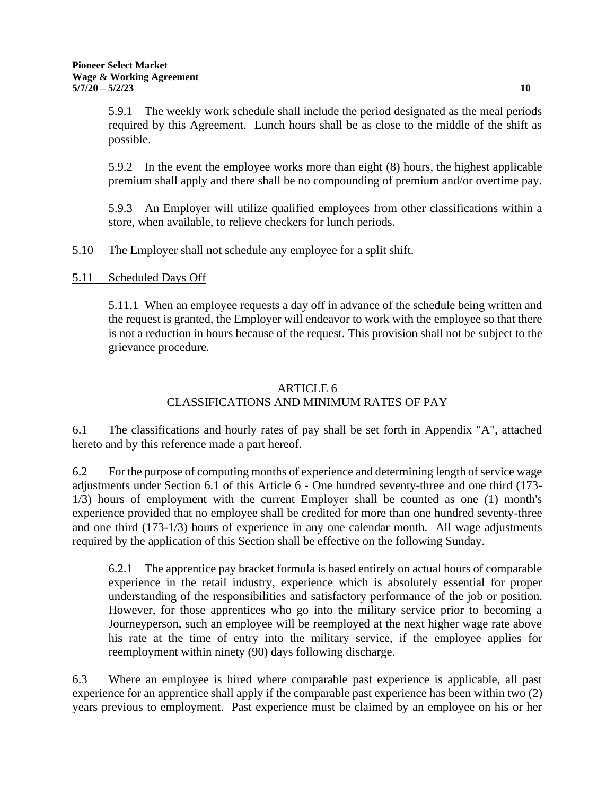5.9.2 In the event the employee works more than eight (8) hours, the highest applicable premium shall apply and there shall be no compounding of premium and/or overtime pay.

5.9.3 An Employer will utilize qualified employees from other classifications within a store, when available, to relieve checkers for lunch periods.

5.10 The Employer shall not schedule any employee for a split shift.

## 5.11 Scheduled Days Off

5.11.1 When an employee requests a day off in advance of the schedule being written and the request is granted, the Employer will endeavor to work with the employee so that there is not a reduction in hours because of the request. This provision shall not be subject to the grievance procedure.

# ARTICLE 6 CLASSIFICATIONS AND MINIMUM RATES OF PAY

6.1 The classifications and hourly rates of pay shall be set forth in Appendix "A", attached hereto and by this reference made a part hereof.

6.2 For the purpose of computing months of experience and determining length of service wage adjustments under Section 6.1 of this Article 6 - One hundred seventy-three and one third (173- 1/3) hours of employment with the current Employer shall be counted as one (1) month's experience provided that no employee shall be credited for more than one hundred seventy-three and one third (173-1/3) hours of experience in any one calendar month. All wage adjustments required by the application of this Section shall be effective on the following Sunday.

6.2.1 The apprentice pay bracket formula is based entirely on actual hours of comparable experience in the retail industry, experience which is absolutely essential for proper understanding of the responsibilities and satisfactory performance of the job or position. However, for those apprentices who go into the military service prior to becoming a Journeyperson, such an employee will be reemployed at the next higher wage rate above his rate at the time of entry into the military service, if the employee applies for reemployment within ninety (90) days following discharge.

6.3 Where an employee is hired where comparable past experience is applicable, all past experience for an apprentice shall apply if the comparable past experience has been within two (2) years previous to employment. Past experience must be claimed by an employee on his or her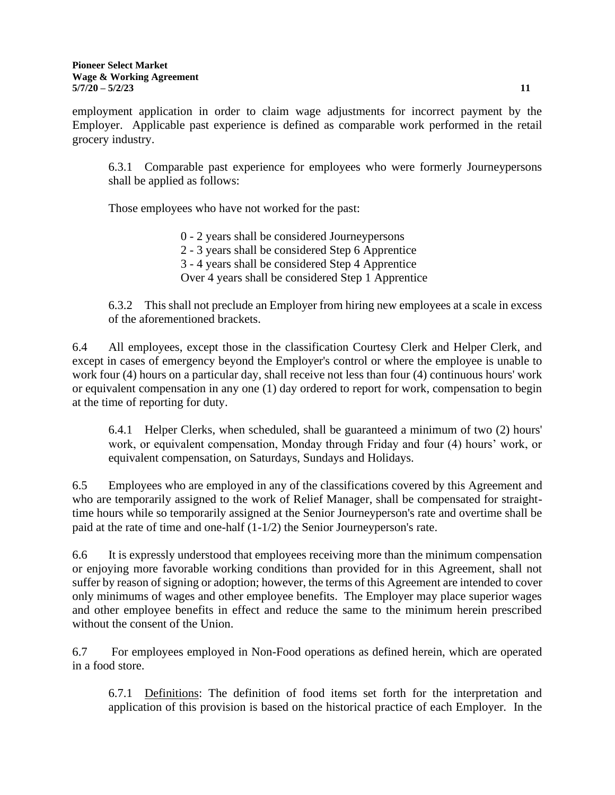employment application in order to claim wage adjustments for incorrect payment by the Employer. Applicable past experience is defined as comparable work performed in the retail grocery industry.

6.3.1 Comparable past experience for employees who were formerly Journeypersons shall be applied as follows:

Those employees who have not worked for the past:

- 0 2 years shall be considered Journeypersons
- 2 3 years shall be considered Step 6 Apprentice
- 3 4 years shall be considered Step 4 Apprentice
- Over 4 years shall be considered Step 1 Apprentice

6.3.2 This shall not preclude an Employer from hiring new employees at a scale in excess of the aforementioned brackets.

6.4 All employees, except those in the classification Courtesy Clerk and Helper Clerk, and except in cases of emergency beyond the Employer's control or where the employee is unable to work four (4) hours on a particular day, shall receive not less than four (4) continuous hours' work or equivalent compensation in any one (1) day ordered to report for work, compensation to begin at the time of reporting for duty.

6.4.1 Helper Clerks, when scheduled, shall be guaranteed a minimum of two (2) hours' work, or equivalent compensation, Monday through Friday and four (4) hours' work, or equivalent compensation, on Saturdays, Sundays and Holidays.

6.5 Employees who are employed in any of the classifications covered by this Agreement and who are temporarily assigned to the work of Relief Manager, shall be compensated for straighttime hours while so temporarily assigned at the Senior Journeyperson's rate and overtime shall be paid at the rate of time and one-half (1-1/2) the Senior Journeyperson's rate.

6.6 It is expressly understood that employees receiving more than the minimum compensation or enjoying more favorable working conditions than provided for in this Agreement, shall not suffer by reason of signing or adoption; however, the terms of this Agreement are intended to cover only minimums of wages and other employee benefits. The Employer may place superior wages and other employee benefits in effect and reduce the same to the minimum herein prescribed without the consent of the Union.

6.7 For employees employed in Non-Food operations as defined herein, which are operated in a food store.

6.7.1 Definitions: The definition of food items set forth for the interpretation and application of this provision is based on the historical practice of each Employer. In the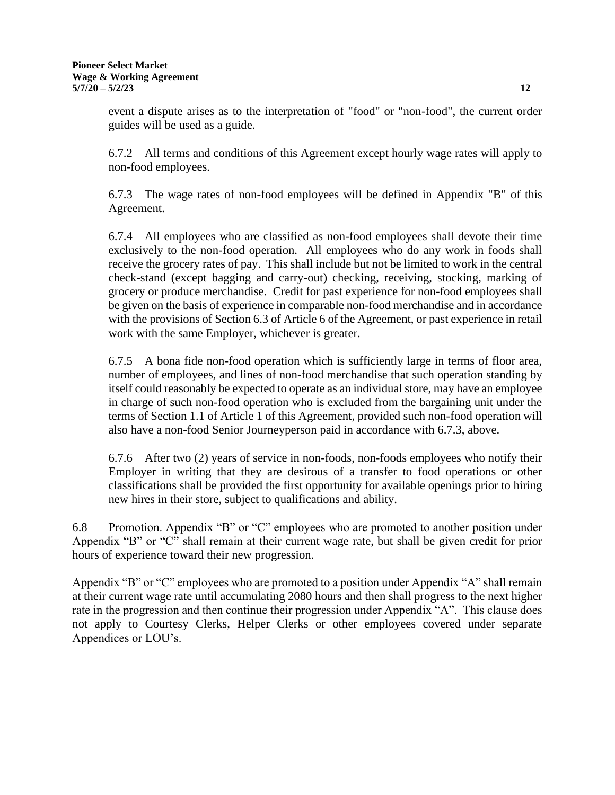event a dispute arises as to the interpretation of "food" or "non-food", the current order guides will be used as a guide.

6.7.2 All terms and conditions of this Agreement except hourly wage rates will apply to non-food employees.

6.7.3 The wage rates of non-food employees will be defined in Appendix "B" of this Agreement.

6.7.4 All employees who are classified as non-food employees shall devote their time exclusively to the non-food operation. All employees who do any work in foods shall receive the grocery rates of pay. This shall include but not be limited to work in the central check-stand (except bagging and carry-out) checking, receiving, stocking, marking of grocery or produce merchandise. Credit for past experience for non-food employees shall be given on the basis of experience in comparable non-food merchandise and in accordance with the provisions of Section 6.3 of Article 6 of the Agreement, or past experience in retail work with the same Employer, whichever is greater.

6.7.5 A bona fide non-food operation which is sufficiently large in terms of floor area, number of employees, and lines of non-food merchandise that such operation standing by itself could reasonably be expected to operate as an individual store, may have an employee in charge of such non-food operation who is excluded from the bargaining unit under the terms of Section 1.1 of Article 1 of this Agreement, provided such non-food operation will also have a non-food Senior Journeyperson paid in accordance with 6.7.3, above.

6.7.6 After two (2) years of service in non-foods, non-foods employees who notify their Employer in writing that they are desirous of a transfer to food operations or other classifications shall be provided the first opportunity for available openings prior to hiring new hires in their store, subject to qualifications and ability.

6.8 Promotion. Appendix "B" or "C" employees who are promoted to another position under Appendix "B" or "C" shall remain at their current wage rate, but shall be given credit for prior hours of experience toward their new progression.

Appendix "B" or "C" employees who are promoted to a position under Appendix "A" shall remain at their current wage rate until accumulating 2080 hours and then shall progress to the next higher rate in the progression and then continue their progression under Appendix "A". This clause does not apply to Courtesy Clerks, Helper Clerks or other employees covered under separate Appendices or LOU's.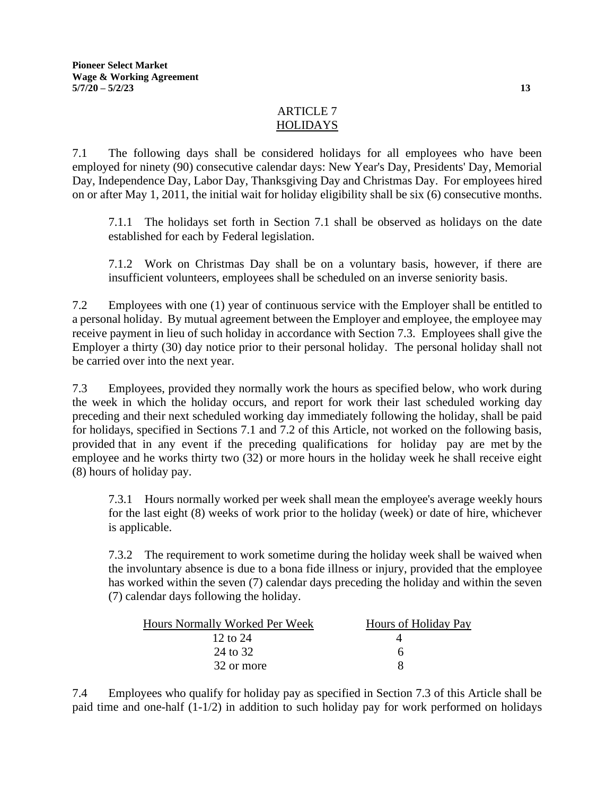# ARTICLE 7 HOLIDAYS

7.1 The following days shall be considered holidays for all employees who have been employed for ninety (90) consecutive calendar days: New Year's Day, Presidents' Day, Memorial Day, Independence Day, Labor Day, Thanksgiving Day and Christmas Day. For employees hired on or after May 1, 2011, the initial wait for holiday eligibility shall be six (6) consecutive months.

7.1.1 The holidays set forth in Section 7.1 shall be observed as holidays on the date established for each by Federal legislation.

7.1.2 Work on Christmas Day shall be on a voluntary basis, however, if there are insufficient volunteers, employees shall be scheduled on an inverse seniority basis.

7.2 Employees with one (1) year of continuous service with the Employer shall be entitled to a personal holiday. By mutual agreement between the Employer and employee, the employee may receive payment in lieu of such holiday in accordance with Section 7.3. Employees shall give the Employer a thirty (30) day notice prior to their personal holiday. The personal holiday shall not be carried over into the next year.

7.3 Employees, provided they normally work the hours as specified below, who work during the week in which the holiday occurs, and report for work their last scheduled working day preceding and their next scheduled working day immediately following the holiday, shall be paid for holidays, specified in Sections 7.1 and 7.2 of this Article, not worked on the following basis, provided that in any event if the preceding qualifications for holiday pay are met by the employee and he works thirty two (32) or more hours in the holiday week he shall receive eight (8) hours of holiday pay.

7.3.1 Hours normally worked per week shall mean the employee's average weekly hours for the last eight (8) weeks of work prior to the holiday (week) or date of hire, whichever is applicable.

7.3.2 The requirement to work sometime during the holiday week shall be waived when the involuntary absence is due to a bona fide illness or injury, provided that the employee has worked within the seven (7) calendar days preceding the holiday and within the seven (7) calendar days following the holiday.

| Hours Normally Worked Per Week | Hours of Holiday Pay |
|--------------------------------|----------------------|
| 12 to $24$                     |                      |
| 24 to 32                       | h                    |
| 32 or more                     |                      |

7.4 Employees who qualify for holiday pay as specified in Section 7.3 of this Article shall be paid time and one-half (1-1/2) in addition to such holiday pay for work performed on holidays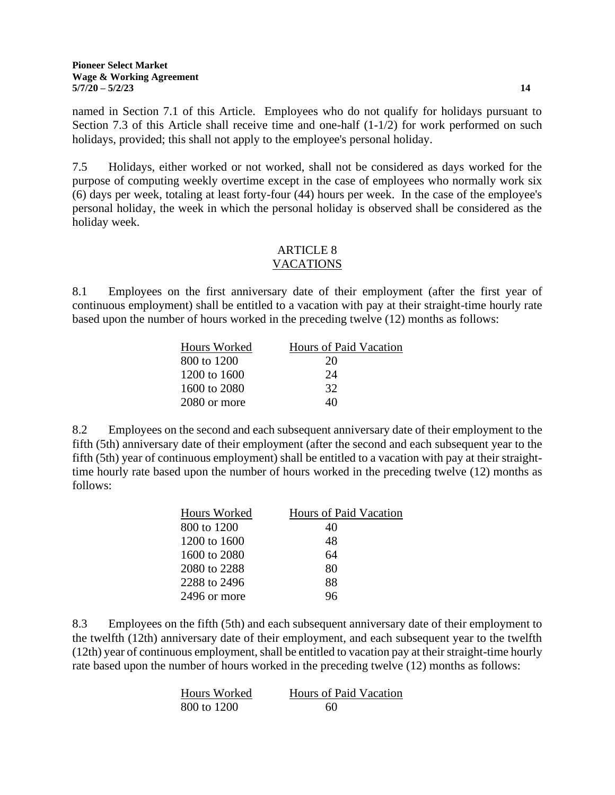named in Section 7.1 of this Article. Employees who do not qualify for holidays pursuant to Section 7.3 of this Article shall receive time and one-half  $(1-1/2)$  for work performed on such holidays, provided; this shall not apply to the employee's personal holiday.

7.5 Holidays, either worked or not worked, shall not be considered as days worked for the purpose of computing weekly overtime except in the case of employees who normally work six (6) days per week, totaling at least forty-four (44) hours per week. In the case of the employee's personal holiday, the week in which the personal holiday is observed shall be considered as the holiday week.

#### ARTICLE 8 VACATIONS

8.1 Employees on the first anniversary date of their employment (after the first year of continuous employment) shall be entitled to a vacation with pay at their straight-time hourly rate based upon the number of hours worked in the preceding twelve (12) months as follows:

| Hours Worked | Hours of Paid Vacation |
|--------------|------------------------|
| 800 to 1200  | 20                     |
| 1200 to 1600 | 24                     |
| 1600 to 2080 | 32                     |
| 2080 or more | 40                     |

8.2 Employees on the second and each subsequent anniversary date of their employment to the fifth (5th) anniversary date of their employment (after the second and each subsequent year to the fifth (5th) year of continuous employment) shall be entitled to a vacation with pay at their straighttime hourly rate based upon the number of hours worked in the preceding twelve (12) months as follows:

| Hours Worked | Hours of Paid Vacation |
|--------------|------------------------|
| 800 to 1200  | 40                     |
| 1200 to 1600 | 48                     |
| 1600 to 2080 | 64                     |
| 2080 to 2288 | 80                     |
| 2288 to 2496 | 88                     |
| 2496 or more | 96                     |
|              |                        |

8.3 Employees on the fifth (5th) and each subsequent anniversary date of their employment to the twelfth (12th) anniversary date of their employment, and each subsequent year to the twelfth (12th) year of continuous employment, shall be entitled to vacation pay at their straight-time hourly rate based upon the number of hours worked in the preceding twelve (12) months as follows:

| Hours Worked | Hours of Paid Vacation |
|--------------|------------------------|
| 800 to 1200  | 60                     |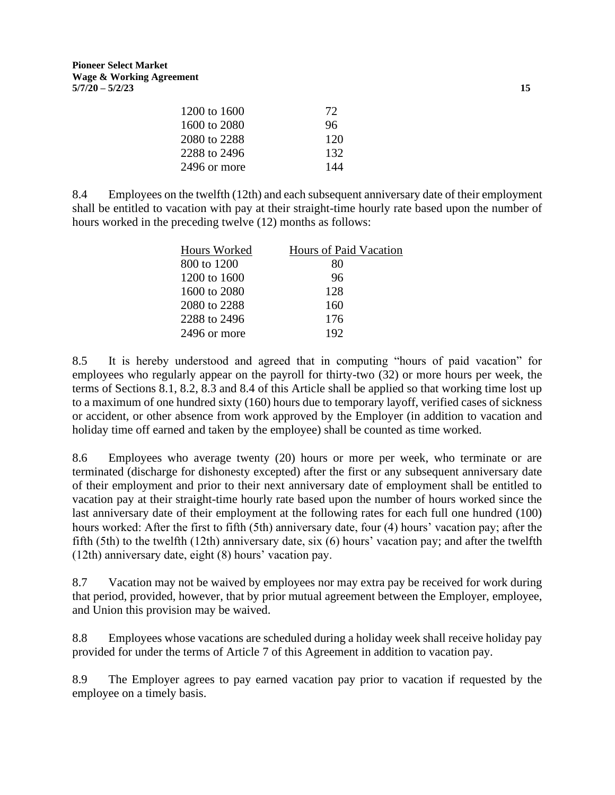| 1200 to 1600 | 72  |
|--------------|-----|
| 1600 to 2080 | 96  |
| 2080 to 2288 | 120 |
| 2288 to 2496 | 132 |
| 2496 or more | 144 |

8.4 Employees on the twelfth (12th) and each subsequent anniversary date of their employment shall be entitled to vacation with pay at their straight-time hourly rate based upon the number of hours worked in the preceding twelve (12) months as follows:

| Hours Worked | Hours of Paid Vacation |
|--------------|------------------------|
| 800 to 1200  | 80                     |
| 1200 to 1600 | 96                     |
| 1600 to 2080 | 128                    |
| 2080 to 2288 | 160                    |
| 2288 to 2496 | 176                    |
| 2496 or more | 192                    |

8.5 It is hereby understood and agreed that in computing "hours of paid vacation" for employees who regularly appear on the payroll for thirty-two (32) or more hours per week, the terms of Sections 8.1, 8.2, 8.3 and 8.4 of this Article shall be applied so that working time lost up to a maximum of one hundred sixty (160) hours due to temporary layoff, verified cases of sickness or accident, or other absence from work approved by the Employer (in addition to vacation and holiday time off earned and taken by the employee) shall be counted as time worked.

8.6 Employees who average twenty (20) hours or more per week, who terminate or are terminated (discharge for dishonesty excepted) after the first or any subsequent anniversary date of their employment and prior to their next anniversary date of employment shall be entitled to vacation pay at their straight-time hourly rate based upon the number of hours worked since the last anniversary date of their employment at the following rates for each full one hundred (100) hours worked: After the first to fifth (5th) anniversary date, four (4) hours' vacation pay; after the fifth (5th) to the twelfth (12th) anniversary date, six (6) hours' vacation pay; and after the twelfth (12th) anniversary date, eight (8) hours' vacation pay.

8.7 Vacation may not be waived by employees nor may extra pay be received for work during that period, provided, however, that by prior mutual agreement between the Employer, employee, and Union this provision may be waived.

8.8 Employees whose vacations are scheduled during a holiday week shall receive holiday pay provided for under the terms of Article 7 of this Agreement in addition to vacation pay.

8.9 The Employer agrees to pay earned vacation pay prior to vacation if requested by the employee on a timely basis.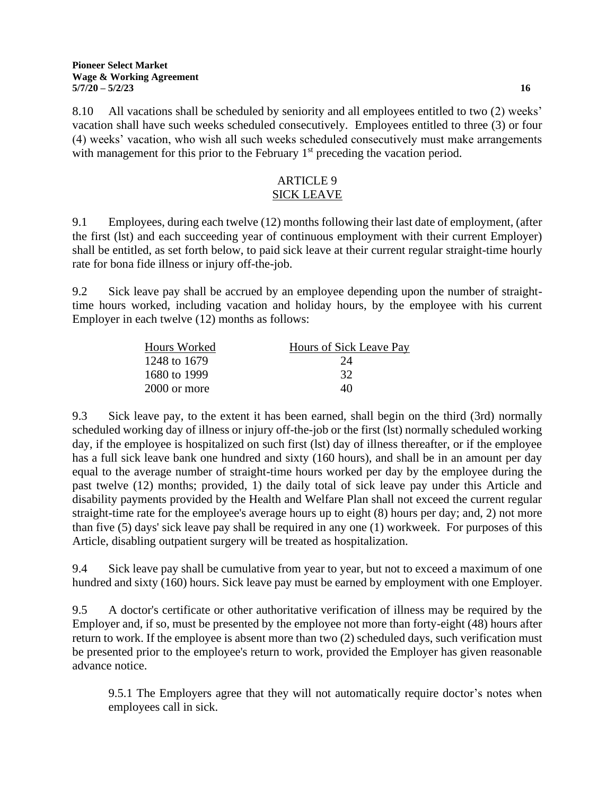8.10 All vacations shall be scheduled by seniority and all employees entitled to two (2) weeks' vacation shall have such weeks scheduled consecutively. Employees entitled to three (3) or four (4) weeks' vacation, who wish all such weeks scheduled consecutively must make arrangements with management for this prior to the February  $1<sup>st</sup>$  preceding the vacation period.

## ARTICLE 9 SICK LEAVE

9.1 Employees, during each twelve (12) months following their last date of employment, (after the first (lst) and each succeeding year of continuous employment with their current Employer) shall be entitled, as set forth below, to paid sick leave at their current regular straight-time hourly rate for bona fide illness or injury off-the-job.

9.2 Sick leave pay shall be accrued by an employee depending upon the number of straighttime hours worked, including vacation and holiday hours, by the employee with his current Employer in each twelve (12) months as follows:

| Hours Worked   | Hours of Sick Leave Pay |
|----------------|-------------------------|
| 1248 to 1679   | 24                      |
| 1680 to 1999   | 32                      |
| $2000$ or more | 40                      |

9.3 Sick leave pay, to the extent it has been earned, shall begin on the third (3rd) normally scheduled working day of illness or injury off-the-job or the first (lst) normally scheduled working day, if the employee is hospitalized on such first (lst) day of illness thereafter, or if the employee has a full sick leave bank one hundred and sixty (160 hours), and shall be in an amount per day equal to the average number of straight-time hours worked per day by the employee during the past twelve (12) months; provided, 1) the daily total of sick leave pay under this Article and disability payments provided by the Health and Welfare Plan shall not exceed the current regular straight-time rate for the employee's average hours up to eight (8) hours per day; and, 2) not more than five (5) days' sick leave pay shall be required in any one (1) workweek. For purposes of this Article, disabling outpatient surgery will be treated as hospitalization.

9.4 Sick leave pay shall be cumulative from year to year, but not to exceed a maximum of one hundred and sixty (160) hours. Sick leave pay must be earned by employment with one Employer.

9.5 A doctor's certificate or other authoritative verification of illness may be required by the Employer and, if so, must be presented by the employee not more than forty-eight (48) hours after return to work. If the employee is absent more than two (2) scheduled days, such verification must be presented prior to the employee's return to work, provided the Employer has given reasonable advance notice.

9.5.1 The Employers agree that they will not automatically require doctor's notes when employees call in sick.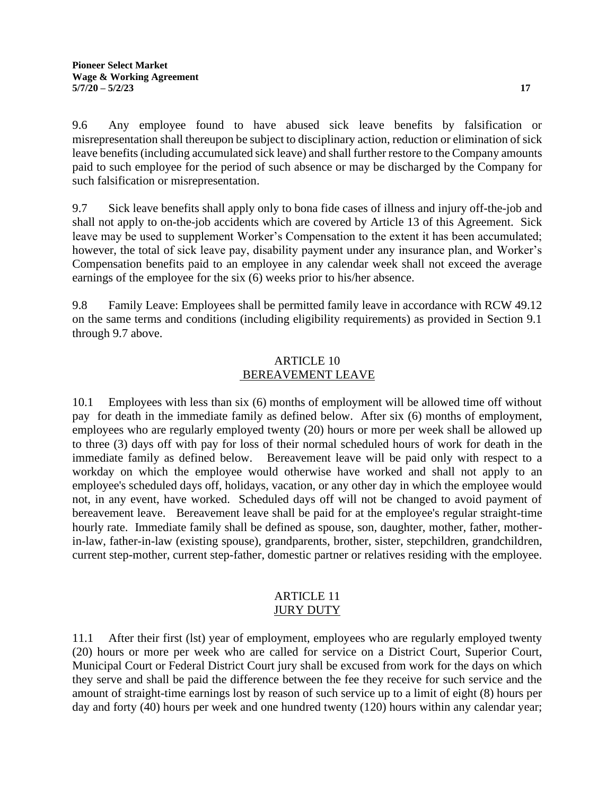9.6 Any employee found to have abused sick leave benefits by falsification or misrepresentation shall thereupon be subject to disciplinary action, reduction or elimination of sick leave benefits (including accumulated sick leave) and shall further restore to the Company amounts paid to such employee for the period of such absence or may be discharged by the Company for such falsification or misrepresentation.

9.7 Sick leave benefits shall apply only to bona fide cases of illness and injury off-the-job and shall not apply to on-the-job accidents which are covered by Article 13 of this Agreement. Sick leave may be used to supplement Worker's Compensation to the extent it has been accumulated; however, the total of sick leave pay, disability payment under any insurance plan, and Worker's Compensation benefits paid to an employee in any calendar week shall not exceed the average earnings of the employee for the six (6) weeks prior to his/her absence.

9.8 Family Leave: Employees shall be permitted family leave in accordance with RCW 49.12 on the same terms and conditions (including eligibility requirements) as provided in Section 9.1 through 9.7 above.

# ARTICLE 10 BEREAVEMENT LEAVE

10.1 Employees with less than six (6) months of employment will be allowed time off without pay for death in the immediate family as defined below. After six (6) months of employment, employees who are regularly employed twenty (20) hours or more per week shall be allowed up to three (3) days off with pay for loss of their normal scheduled hours of work for death in the immediate family as defined below. Bereavement leave will be paid only with respect to a workday on which the employee would otherwise have worked and shall not apply to an employee's scheduled days off, holidays, vacation, or any other day in which the employee would not, in any event, have worked. Scheduled days off will not be changed to avoid payment of bereavement leave. Bereavement leave shall be paid for at the employee's regular straight-time hourly rate. Immediate family shall be defined as spouse, son, daughter, mother, father, motherin-law, father-in-law (existing spouse), grandparents, brother, sister, stepchildren, grandchildren, current step-mother, current step-father, domestic partner or relatives residing with the employee.

## ARTICLE 11 **JURY DUTY**

11.1 After their first (lst) year of employment, employees who are regularly employed twenty (20) hours or more per week who are called for service on a District Court, Superior Court, Municipal Court or Federal District Court jury shall be excused from work for the days on which they serve and shall be paid the difference between the fee they receive for such service and the amount of straight-time earnings lost by reason of such service up to a limit of eight (8) hours per day and forty (40) hours per week and one hundred twenty (120) hours within any calendar year;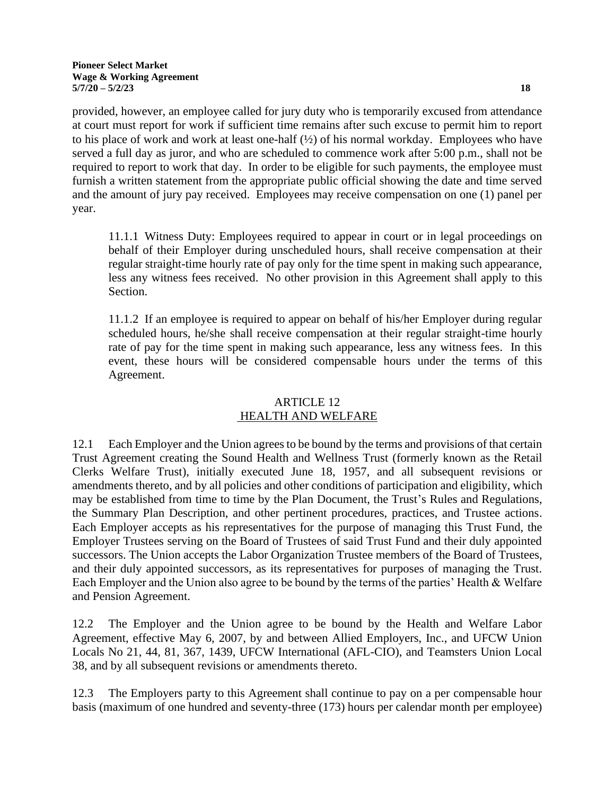#### **Pioneer Select Market Wage & Working Agreement 5/7/20 – 5/2/23 18**

provided, however, an employee called for jury duty who is temporarily excused from attendance at court must report for work if sufficient time remains after such excuse to permit him to report to his place of work and work at least one-half (½) of his normal workday. Employees who have served a full day as juror, and who are scheduled to commence work after 5:00 p.m., shall not be required to report to work that day. In order to be eligible for such payments, the employee must furnish a written statement from the appropriate public official showing the date and time served and the amount of jury pay received. Employees may receive compensation on one (1) panel per year.

11.1.1 Witness Duty: Employees required to appear in court or in legal proceedings on behalf of their Employer during unscheduled hours, shall receive compensation at their regular straight-time hourly rate of pay only for the time spent in making such appearance, less any witness fees received. No other provision in this Agreement shall apply to this Section.

11.1.2 If an employee is required to appear on behalf of his/her Employer during regular scheduled hours, he/she shall receive compensation at their regular straight-time hourly rate of pay for the time spent in making such appearance, less any witness fees. In this event, these hours will be considered compensable hours under the terms of this Agreement.

## ARTICLE 12 HEALTH AND WELFARE

12.1 Each Employer and the Union agrees to be bound by the terms and provisions of that certain Trust Agreement creating the Sound Health and Wellness Trust (formerly known as the Retail Clerks Welfare Trust), initially executed June 18, 1957, and all subsequent revisions or amendments thereto, and by all policies and other conditions of participation and eligibility, which may be established from time to time by the Plan Document, the Trust's Rules and Regulations, the Summary Plan Description, and other pertinent procedures, practices, and Trustee actions. Each Employer accepts as his representatives for the purpose of managing this Trust Fund, the Employer Trustees serving on the Board of Trustees of said Trust Fund and their duly appointed successors. The Union accepts the Labor Organization Trustee members of the Board of Trustees, and their duly appointed successors, as its representatives for purposes of managing the Trust. Each Employer and the Union also agree to be bound by the terms of the parties' Health & Welfare and Pension Agreement.

12.2 The Employer and the Union agree to be bound by the Health and Welfare Labor Agreement, effective May 6, 2007, by and between Allied Employers, Inc., and UFCW Union Locals No 21, 44, 81, 367, 1439, UFCW International (AFL-CIO), and Teamsters Union Local 38, and by all subsequent revisions or amendments thereto.

12.3 The Employers party to this Agreement shall continue to pay on a per compensable hour basis (maximum of one hundred and seventy-three (173) hours per calendar month per employee)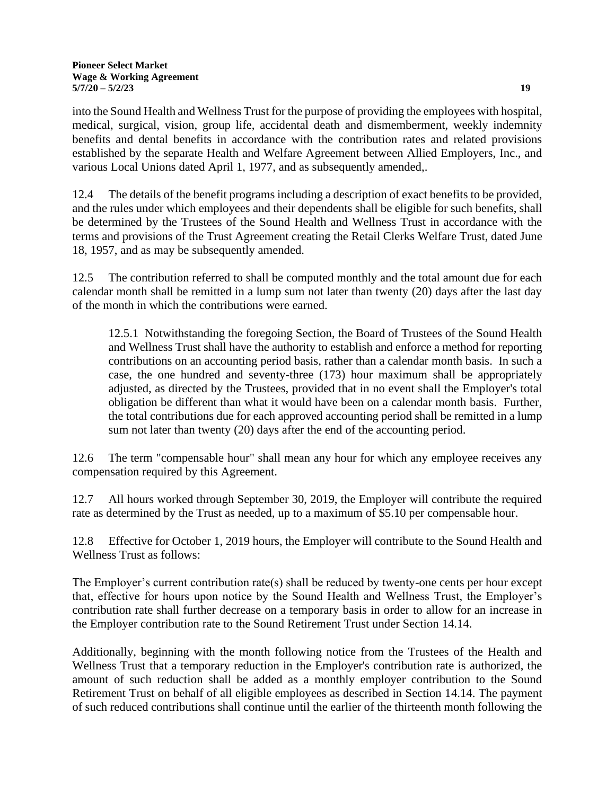into the Sound Health and Wellness Trust for the purpose of providing the employees with hospital, medical, surgical, vision, group life, accidental death and dismemberment, weekly indemnity benefits and dental benefits in accordance with the contribution rates and related provisions established by the separate Health and Welfare Agreement between Allied Employers, Inc., and various Local Unions dated April 1, 1977, and as subsequently amended,.

12.4 The details of the benefit programs including a description of exact benefits to be provided, and the rules under which employees and their dependents shall be eligible for such benefits, shall be determined by the Trustees of the Sound Health and Wellness Trust in accordance with the terms and provisions of the Trust Agreement creating the Retail Clerks Welfare Trust, dated June 18, 1957, and as may be subsequently amended.

12.5 The contribution referred to shall be computed monthly and the total amount due for each calendar month shall be remitted in a lump sum not later than twenty (20) days after the last day of the month in which the contributions were earned.

12.5.1 Notwithstanding the foregoing Section, the Board of Trustees of the Sound Health and Wellness Trust shall have the authority to establish and enforce a method for reporting contributions on an accounting period basis, rather than a calendar month basis. In such a case, the one hundred and seventy-three (173) hour maximum shall be appropriately adjusted, as directed by the Trustees, provided that in no event shall the Employer's total obligation be different than what it would have been on a calendar month basis. Further, the total contributions due for each approved accounting period shall be remitted in a lump sum not later than twenty (20) days after the end of the accounting period.

12.6 The term "compensable hour" shall mean any hour for which any employee receives any compensation required by this Agreement.

12.7 All hours worked through September 30, 2019, the Employer will contribute the required rate as determined by the Trust as needed, up to a maximum of \$5.10 per compensable hour.

12.8 Effective for October 1, 2019 hours, the Employer will contribute to the Sound Health and Wellness Trust as follows:

The Employer's current contribution rate(s) shall be reduced by twenty-one cents per hour except that, effective for hours upon notice by the Sound Health and Wellness Trust, the Employer's contribution rate shall further decrease on a temporary basis in order to allow for an increase in the Employer contribution rate to the Sound Retirement Trust under Section 14.14.

Additionally, beginning with the month following notice from the Trustees of the Health and Wellness Trust that a temporary reduction in the Employer's contribution rate is authorized, the amount of such reduction shall be added as a monthly employer contribution to the Sound Retirement Trust on behalf of all eligible employees as described in Section 14.14. The payment of such reduced contributions shall continue until the earlier of the thirteenth month following the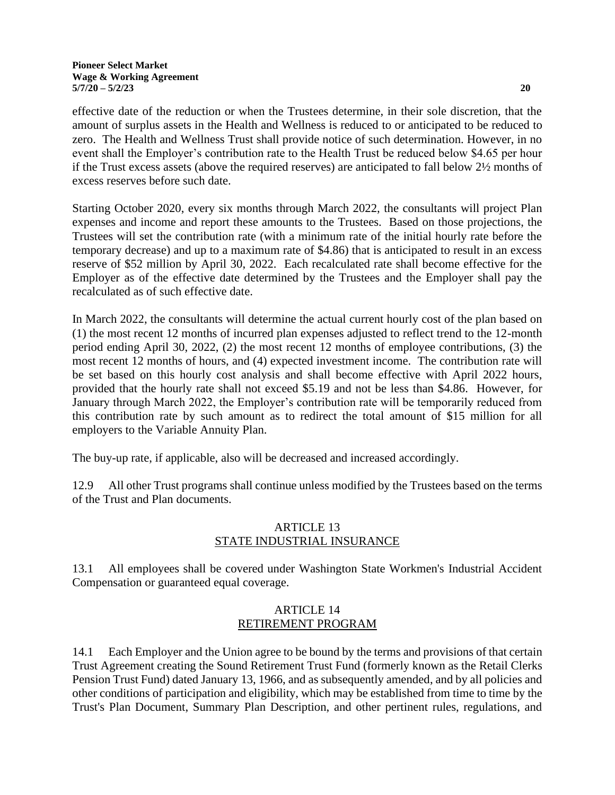effective date of the reduction or when the Trustees determine, in their sole discretion, that the amount of surplus assets in the Health and Wellness is reduced to or anticipated to be reduced to zero. The Health and Wellness Trust shall provide notice of such determination. However, in no event shall the Employer's contribution rate to the Health Trust be reduced below \$4.65 per hour if the Trust excess assets (above the required reserves) are anticipated to fall below 2½ months of excess reserves before such date.

Starting October 2020, every six months through March 2022, the consultants will project Plan expenses and income and report these amounts to the Trustees. Based on those projections, the Trustees will set the contribution rate (with a minimum rate of the initial hourly rate before the temporary decrease) and up to a maximum rate of \$4.86) that is anticipated to result in an excess reserve of \$52 million by April 30, 2022. Each recalculated rate shall become effective for the Employer as of the effective date determined by the Trustees and the Employer shall pay the recalculated as of such effective date.

In March 2022, the consultants will determine the actual current hourly cost of the plan based on (1) the most recent 12 months of incurred plan expenses adjusted to reflect trend to the 12-month period ending April 30, 2022, (2) the most recent 12 months of employee contributions, (3) the most recent 12 months of hours, and (4) expected investment income. The contribution rate will be set based on this hourly cost analysis and shall become effective with April 2022 hours, provided that the hourly rate shall not exceed \$5.19 and not be less than \$4.86. However, for January through March 2022, the Employer's contribution rate will be temporarily reduced from this contribution rate by such amount as to redirect the total amount of \$15 million for all employers to the Variable Annuity Plan.

The buy-up rate, if applicable, also will be decreased and increased accordingly.

12.9 All other Trust programs shall continue unless modified by the Trustees based on the terms of the Trust and Plan documents.

# ARTICLE 13 STATE INDUSTRIAL INSURANCE

13.1 All employees shall be covered under Washington State Workmen's Industrial Accident Compensation or guaranteed equal coverage.

## ARTICLE 14 RETIREMENT PROGRAM

14.1 Each Employer and the Union agree to be bound by the terms and provisions of that certain Trust Agreement creating the Sound Retirement Trust Fund (formerly known as the Retail Clerks Pension Trust Fund) dated January 13, 1966, and as subsequently amended, and by all policies and other conditions of participation and eligibility, which may be established from time to time by the Trust's Plan Document, Summary Plan Description, and other pertinent rules, regulations, and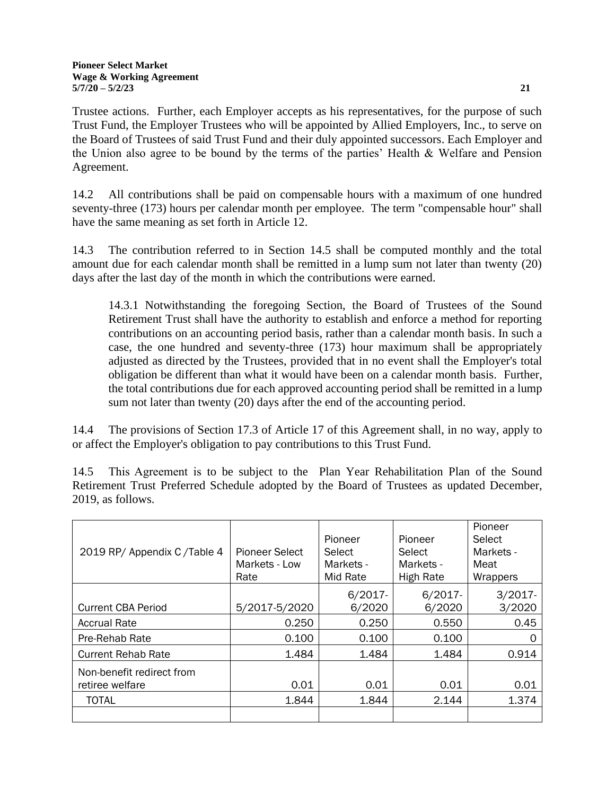Trustee actions. Further, each Employer accepts as his representatives, for the purpose of such Trust Fund, the Employer Trustees who will be appointed by Allied Employers, Inc., to serve on the Board of Trustees of said Trust Fund and their duly appointed successors. Each Employer and the Union also agree to be bound by the terms of the parties' Health & Welfare and Pension Agreement.

14.2 All contributions shall be paid on compensable hours with a maximum of one hundred seventy-three (173) hours per calendar month per employee. The term "compensable hour" shall have the same meaning as set forth in Article 12.

14.3 The contribution referred to in Section 14.5 shall be computed monthly and the total amount due for each calendar month shall be remitted in a lump sum not later than twenty (20) days after the last day of the month in which the contributions were earned.

14.3.1 Notwithstanding the foregoing Section, the Board of Trustees of the Sound Retirement Trust shall have the authority to establish and enforce a method for reporting contributions on an accounting period basis, rather than a calendar month basis. In such a case, the one hundred and seventy-three (173) hour maximum shall be appropriately adjusted as directed by the Trustees, provided that in no event shall the Employer's total obligation be different than what it would have been on a calendar month basis. Further, the total contributions due for each approved accounting period shall be remitted in a lump sum not later than twenty (20) days after the end of the accounting period.

14.4 The provisions of Section 17.3 of Article 17 of this Agreement shall, in no way, apply to or affect the Employer's obligation to pay contributions to this Trust Fund.

14.5 This Agreement is to be subject to the Plan Year Rehabilitation Plan of the Sound Retirement Trust Preferred Schedule adopted by the Board of Trustees as updated December, 2019, as follows.

|                             |                |            |            | Pioneer    |
|-----------------------------|----------------|------------|------------|------------|
|                             |                | Pioneer    | Pioneer    | Select     |
| 2019 RP/ Appendix C/Table 4 | Pioneer Select | Select     | Select     | Markets -  |
|                             | Markets - Low  | Markets -  | Markets -  | Meat       |
|                             | Rate           | Mid Rate   | High Rate  | Wrappers   |
|                             |                | $6/2017 -$ | $6/2017 -$ | $3/2017 -$ |
| <b>Current CBA Period</b>   | 5/2017-5/2020  | 6/2020     | 6/2020     | 3/2020     |
| <b>Accrual Rate</b>         | 0.250          | 0.250      | 0.550      | 0.45       |
| Pre-Rehab Rate              | 0.100          | 0.100      | 0.100      | O          |
| <b>Current Rehab Rate</b>   | 1.484          | 1.484      | 1.484      | 0.914      |
| Non-benefit redirect from   |                |            |            |            |
| retiree welfare             | 0.01           | 0.01       | 0.01       | 0.01       |
| <b>TOTAL</b>                | 1.844          | 1.844      | 2.144      | 1.374      |
|                             |                |            |            |            |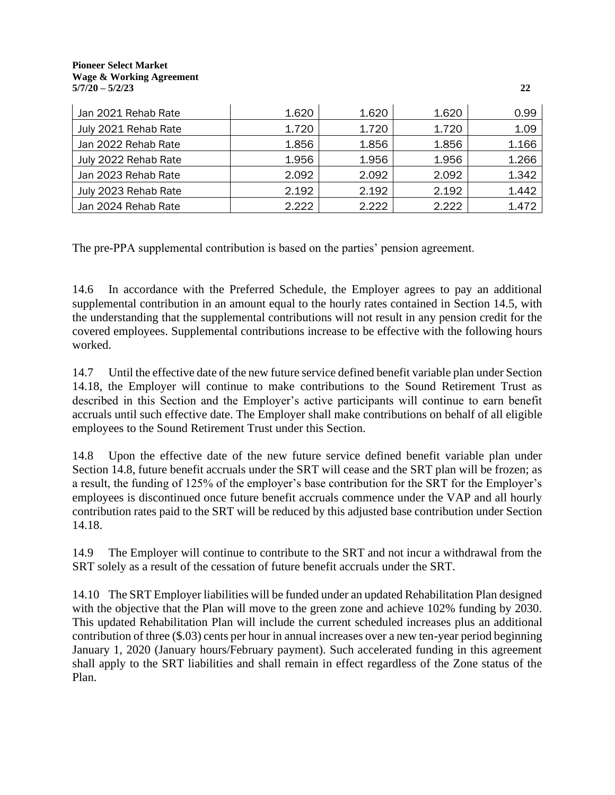#### **Pioneer Select Market Wage & Working Agreement 5/7/20 – 5/2/23 22**

| Jan 2021 Rehab Rate  | 1.620 | 1.620 | 1.620 | 0.99  |
|----------------------|-------|-------|-------|-------|
| July 2021 Rehab Rate | 1.720 | 1.720 | 1.720 | 1.09  |
| Jan 2022 Rehab Rate  | 1.856 | 1.856 | 1.856 | 1.166 |
| July 2022 Rehab Rate | 1.956 | 1.956 | 1.956 | 1.266 |
| Jan 2023 Rehab Rate  | 2.092 | 2.092 | 2.092 | 1.342 |
| July 2023 Rehab Rate | 2.192 | 2.192 | 2.192 | 1.442 |
| Jan 2024 Rehab Rate  | 2.222 | 2.222 | 2.222 | 1.472 |

The pre-PPA supplemental contribution is based on the parties' pension agreement.

14.6 In accordance with the Preferred Schedule, the Employer agrees to pay an additional supplemental contribution in an amount equal to the hourly rates contained in Section 14.5, with the understanding that the supplemental contributions will not result in any pension credit for the covered employees. Supplemental contributions increase to be effective with the following hours worked.

14.7 Until the effective date of the new future service defined benefit variable plan under Section 14.18, the Employer will continue to make contributions to the Sound Retirement Trust as described in this Section and the Employer's active participants will continue to earn benefit accruals until such effective date. The Employer shall make contributions on behalf of all eligible employees to the Sound Retirement Trust under this Section.

14.8 Upon the effective date of the new future service defined benefit variable plan under Section 14.8, future benefit accruals under the SRT will cease and the SRT plan will be frozen; as a result, the funding of 125% of the employer's base contribution for the SRT for the Employer's employees is discontinued once future benefit accruals commence under the VAP and all hourly contribution rates paid to the SRT will be reduced by this adjusted base contribution under Section 14.18.

14.9 The Employer will continue to contribute to the SRT and not incur a withdrawal from the SRT solely as a result of the cessation of future benefit accruals under the SRT.

14.10 The SRT Employer liabilities will be funded under an updated Rehabilitation Plan designed with the objective that the Plan will move to the green zone and achieve 102% funding by 2030. This updated Rehabilitation Plan will include the current scheduled increases plus an additional contribution of three (\$.03) cents per hour in annual increases over a new ten-year period beginning January 1, 2020 (January hours/February payment). Such accelerated funding in this agreement shall apply to the SRT liabilities and shall remain in effect regardless of the Zone status of the Plan.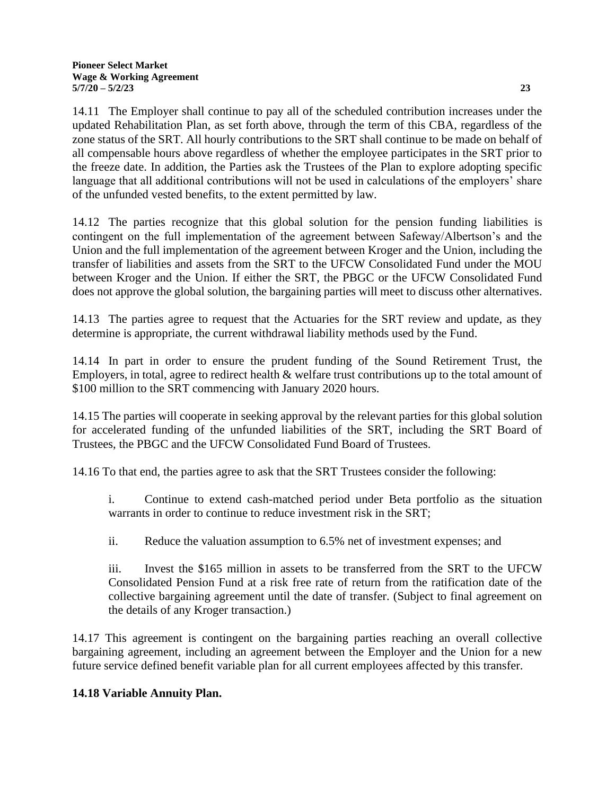14.11 The Employer shall continue to pay all of the scheduled contribution increases under the updated Rehabilitation Plan, as set forth above, through the term of this CBA, regardless of the zone status of the SRT. All hourly contributions to the SRT shall continue to be made on behalf of all compensable hours above regardless of whether the employee participates in the SRT prior to the freeze date. In addition, the Parties ask the Trustees of the Plan to explore adopting specific language that all additional contributions will not be used in calculations of the employers' share of the unfunded vested benefits, to the extent permitted by law.

14.12 The parties recognize that this global solution for the pension funding liabilities is contingent on the full implementation of the agreement between Safeway/Albertson's and the Union and the full implementation of the agreement between Kroger and the Union, including the transfer of liabilities and assets from the SRT to the UFCW Consolidated Fund under the MOU between Kroger and the Union. If either the SRT, the PBGC or the UFCW Consolidated Fund does not approve the global solution, the bargaining parties will meet to discuss other alternatives.

14.13 The parties agree to request that the Actuaries for the SRT review and update, as they determine is appropriate, the current withdrawal liability methods used by the Fund.

14.14 In part in order to ensure the prudent funding of the Sound Retirement Trust, the Employers, in total, agree to redirect health & welfare trust contributions up to the total amount of \$100 million to the SRT commencing with January 2020 hours.

14.15 The parties will cooperate in seeking approval by the relevant parties for this global solution for accelerated funding of the unfunded liabilities of the SRT, including the SRT Board of Trustees, the PBGC and the UFCW Consolidated Fund Board of Trustees.

14.16 To that end, the parties agree to ask that the SRT Trustees consider the following:

i. Continue to extend cash-matched period under Beta portfolio as the situation warrants in order to continue to reduce investment risk in the SRT;

ii. Reduce the valuation assumption to 6.5% net of investment expenses; and

iii. Invest the \$165 million in assets to be transferred from the SRT to the UFCW Consolidated Pension Fund at a risk free rate of return from the ratification date of the collective bargaining agreement until the date of transfer. (Subject to final agreement on the details of any Kroger transaction.)

14.17 This agreement is contingent on the bargaining parties reaching an overall collective bargaining agreement, including an agreement between the Employer and the Union for a new future service defined benefit variable plan for all current employees affected by this transfer.

## **14.18 Variable Annuity Plan.**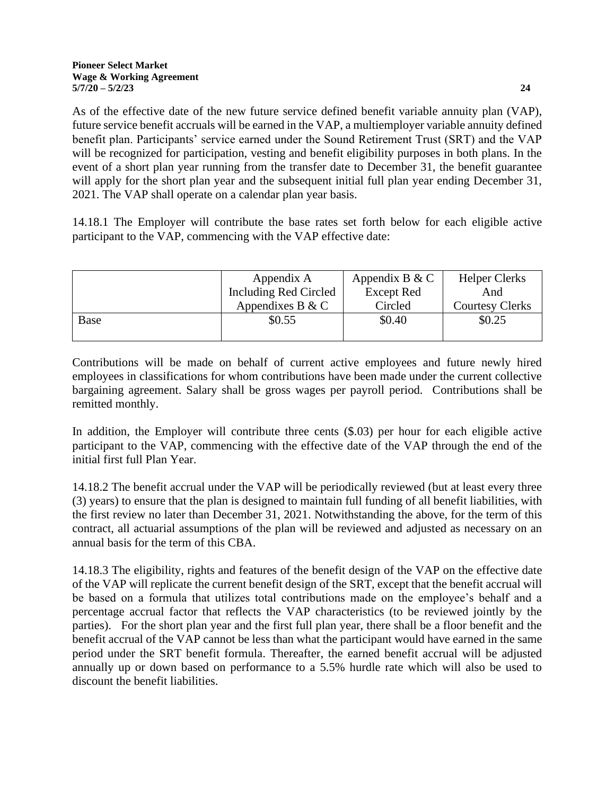As of the effective date of the new future service defined benefit variable annuity plan (VAP), future service benefit accruals will be earned in the VAP, a multiemployer variable annuity defined benefit plan. Participants' service earned under the Sound Retirement Trust (SRT) and the VAP will be recognized for participation, vesting and benefit eligibility purposes in both plans. In the event of a short plan year running from the transfer date to December 31, the benefit guarantee will apply for the short plan year and the subsequent initial full plan year ending December 31, 2021. The VAP shall operate on a calendar plan year basis.

14.18.1 The Employer will contribute the base rates set forth below for each eligible active participant to the VAP, commencing with the VAP effective date:

|      | Appendix A            | Appendix B & C | <b>Helper Clerks</b>   |
|------|-----------------------|----------------|------------------------|
|      | Including Red Circled | Except Red     | And                    |
|      | Appendixes B & C      | Circled        | <b>Courtesy Clerks</b> |
| Base | \$0.55                | \$0.40         | \$0.25                 |
|      |                       |                |                        |

Contributions will be made on behalf of current active employees and future newly hired employees in classifications for whom contributions have been made under the current collective bargaining agreement. Salary shall be gross wages per payroll period. Contributions shall be remitted monthly.

In addition, the Employer will contribute three cents (\$.03) per hour for each eligible active participant to the VAP, commencing with the effective date of the VAP through the end of the initial first full Plan Year.

14.18.2 The benefit accrual under the VAP will be periodically reviewed (but at least every three (3) years) to ensure that the plan is designed to maintain full funding of all benefit liabilities, with the first review no later than December 31, 2021. Notwithstanding the above, for the term of this contract, all actuarial assumptions of the plan will be reviewed and adjusted as necessary on an annual basis for the term of this CBA.

14.18.3 The eligibility, rights and features of the benefit design of the VAP on the effective date of the VAP will replicate the current benefit design of the SRT, except that the benefit accrual will be based on a formula that utilizes total contributions made on the employee's behalf and a percentage accrual factor that reflects the VAP characteristics (to be reviewed jointly by the parties). For the short plan year and the first full plan year, there shall be a floor benefit and the benefit accrual of the VAP cannot be less than what the participant would have earned in the same period under the SRT benefit formula. Thereafter, the earned benefit accrual will be adjusted annually up or down based on performance to a 5.5% hurdle rate which will also be used to discount the benefit liabilities.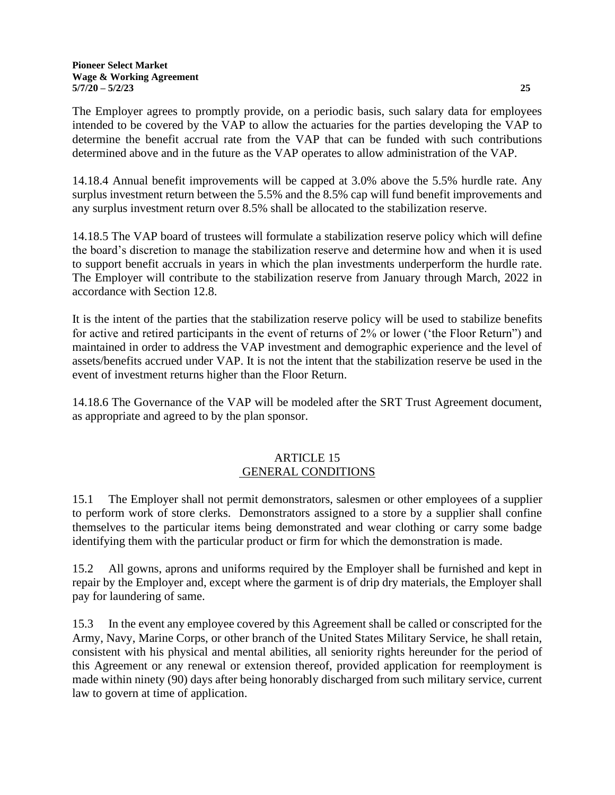The Employer agrees to promptly provide, on a periodic basis, such salary data for employees intended to be covered by the VAP to allow the actuaries for the parties developing the VAP to determine the benefit accrual rate from the VAP that can be funded with such contributions determined above and in the future as the VAP operates to allow administration of the VAP.

14.18.4 Annual benefit improvements will be capped at 3.0% above the 5.5% hurdle rate. Any surplus investment return between the 5.5% and the 8.5% cap will fund benefit improvements and any surplus investment return over 8.5% shall be allocated to the stabilization reserve.

14.18.5 The VAP board of trustees will formulate a stabilization reserve policy which will define the board's discretion to manage the stabilization reserve and determine how and when it is used to support benefit accruals in years in which the plan investments underperform the hurdle rate. The Employer will contribute to the stabilization reserve from January through March, 2022 in accordance with Section 12.8.

It is the intent of the parties that the stabilization reserve policy will be used to stabilize benefits for active and retired participants in the event of returns of 2% or lower ('the Floor Return") and maintained in order to address the VAP investment and demographic experience and the level of assets/benefits accrued under VAP. It is not the intent that the stabilization reserve be used in the event of investment returns higher than the Floor Return.

14.18.6 The Governance of the VAP will be modeled after the SRT Trust Agreement document, as appropriate and agreed to by the plan sponsor.

## ARTICLE 15 GENERAL CONDITIONS

15.1 The Employer shall not permit demonstrators, salesmen or other employees of a supplier to perform work of store clerks. Demonstrators assigned to a store by a supplier shall confine themselves to the particular items being demonstrated and wear clothing or carry some badge identifying them with the particular product or firm for which the demonstration is made.

15.2 All gowns, aprons and uniforms required by the Employer shall be furnished and kept in repair by the Employer and, except where the garment is of drip dry materials, the Employer shall pay for laundering of same.

15.3 In the event any employee covered by this Agreement shall be called or conscripted for the Army, Navy, Marine Corps, or other branch of the United States Military Service, he shall retain, consistent with his physical and mental abilities, all seniority rights hereunder for the period of this Agreement or any renewal or extension thereof, provided application for reemployment is made within ninety (90) days after being honorably discharged from such military service, current law to govern at time of application.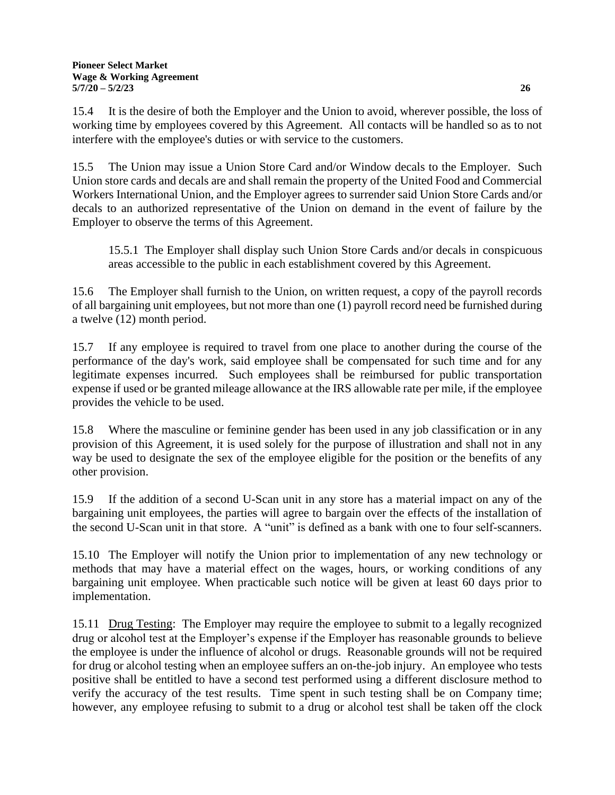15.4 It is the desire of both the Employer and the Union to avoid, wherever possible, the loss of working time by employees covered by this Agreement. All contacts will be handled so as to not interfere with the employee's duties or with service to the customers.

15.5 The Union may issue a Union Store Card and/or Window decals to the Employer. Such Union store cards and decals are and shall remain the property of the United Food and Commercial Workers International Union, and the Employer agrees to surrender said Union Store Cards and/or decals to an authorized representative of the Union on demand in the event of failure by the Employer to observe the terms of this Agreement.

15.5.1 The Employer shall display such Union Store Cards and/or decals in conspicuous areas accessible to the public in each establishment covered by this Agreement.

15.6 The Employer shall furnish to the Union, on written request, a copy of the payroll records of all bargaining unit employees, but not more than one (1) payroll record need be furnished during a twelve (12) month period.

15.7 If any employee is required to travel from one place to another during the course of the performance of the day's work, said employee shall be compensated for such time and for any legitimate expenses incurred. Such employees shall be reimbursed for public transportation expense if used or be granted mileage allowance at the IRS allowable rate per mile, if the employee provides the vehicle to be used.

15.8 Where the masculine or feminine gender has been used in any job classification or in any provision of this Agreement, it is used solely for the purpose of illustration and shall not in any way be used to designate the sex of the employee eligible for the position or the benefits of any other provision.

15.9 If the addition of a second U-Scan unit in any store has a material impact on any of the bargaining unit employees, the parties will agree to bargain over the effects of the installation of the second U-Scan unit in that store. A "unit" is defined as a bank with one to four self-scanners.

15.10 The Employer will notify the Union prior to implementation of any new technology or methods that may have a material effect on the wages, hours, or working conditions of any bargaining unit employee. When practicable such notice will be given at least 60 days prior to implementation.

15.11 Drug Testing: The Employer may require the employee to submit to a legally recognized drug or alcohol test at the Employer's expense if the Employer has reasonable grounds to believe the employee is under the influence of alcohol or drugs. Reasonable grounds will not be required for drug or alcohol testing when an employee suffers an on-the-job injury. An employee who tests positive shall be entitled to have a second test performed using a different disclosure method to verify the accuracy of the test results. Time spent in such testing shall be on Company time; however, any employee refusing to submit to a drug or alcohol test shall be taken off the clock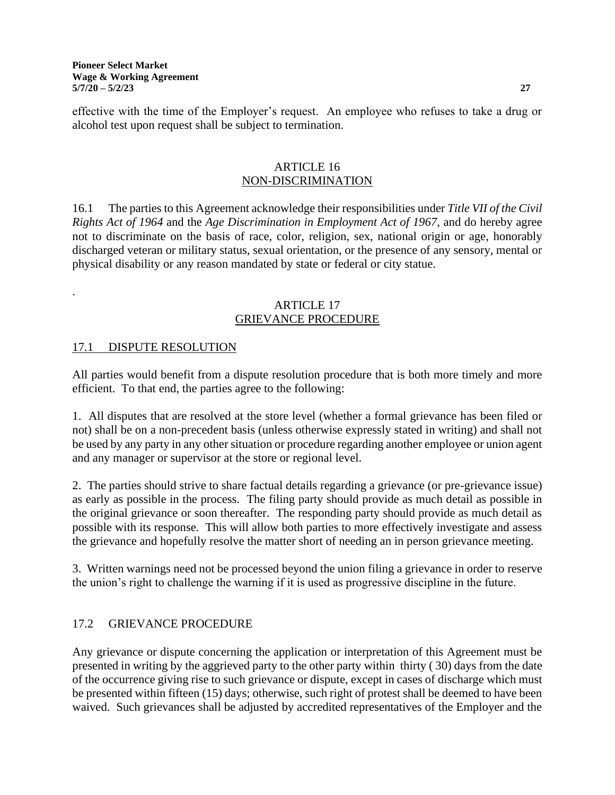effective with the time of the Employer's request. An employee who refuses to take a drug or alcohol test upon request shall be subject to termination.

#### ARTICLE 16 NON-DISCRIMINATION

16.1 The parties to this Agreement acknowledge their responsibilities under *Title VII of the Civil Rights Act of 1964* and the *Age Discrimination in Employment Act of 1967*, and do hereby agree not to discriminate on the basis of race, color, religion, sex, national origin or age, honorably discharged veteran or military status, sexual orientation, or the presence of any sensory, mental or physical disability or any reason mandated by state or federal or city statue.

#### ARTICLE 17 GRIEVANCE PROCEDURE

# 17.1 DISPUTE RESOLUTION

.

All parties would benefit from a dispute resolution procedure that is both more timely and more efficient. To that end, the parties agree to the following:

1. All disputes that are resolved at the store level (whether a formal grievance has been filed or not) shall be on a non-precedent basis (unless otherwise expressly stated in writing) and shall not be used by any party in any other situation or procedure regarding another employee or union agent and any manager or supervisor at the store or regional level.

2. The parties should strive to share factual details regarding a grievance (or pre-grievance issue) as early as possible in the process. The filing party should provide as much detail as possible in the original grievance or soon thereafter. The responding party should provide as much detail as possible with its response. This will allow both parties to more effectively investigate and assess the grievance and hopefully resolve the matter short of needing an in person grievance meeting.

3. Written warnings need not be processed beyond the union filing a grievance in order to reserve the union's right to challenge the warning if it is used as progressive discipline in the future.

# 17.2 GRIEVANCE PROCEDURE

Any grievance or dispute concerning the application or interpretation of this Agreement must be presented in writing by the aggrieved party to the other party within thirty ( 30) days from the date of the occurrence giving rise to such grievance or dispute, except in cases of discharge which must be presented within fifteen (15) days; otherwise, such right of protest shall be deemed to have been waived. Such grievances shall be adjusted by accredited representatives of the Employer and the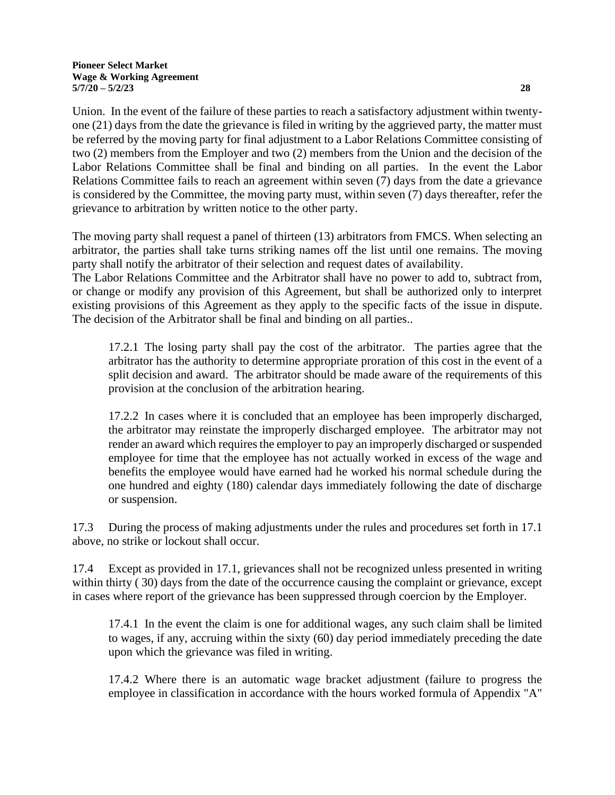Union. In the event of the failure of these parties to reach a satisfactory adjustment within twentyone (21) days from the date the grievance is filed in writing by the aggrieved party, the matter must be referred by the moving party for final adjustment to a Labor Relations Committee consisting of two (2) members from the Employer and two (2) members from the Union and the decision of the Labor Relations Committee shall be final and binding on all parties. In the event the Labor Relations Committee fails to reach an agreement within seven (7) days from the date a grievance is considered by the Committee, the moving party must, within seven (7) days thereafter, refer the grievance to arbitration by written notice to the other party.

The moving party shall request a panel of thirteen (13) arbitrators from FMCS. When selecting an arbitrator, the parties shall take turns striking names off the list until one remains. The moving party shall notify the arbitrator of their selection and request dates of availability.

The Labor Relations Committee and the Arbitrator shall have no power to add to, subtract from, or change or modify any provision of this Agreement, but shall be authorized only to interpret existing provisions of this Agreement as they apply to the specific facts of the issue in dispute. The decision of the Arbitrator shall be final and binding on all parties..

17.2.1 The losing party shall pay the cost of the arbitrator. The parties agree that the arbitrator has the authority to determine appropriate proration of this cost in the event of a split decision and award. The arbitrator should be made aware of the requirements of this provision at the conclusion of the arbitration hearing.

17.2.2 In cases where it is concluded that an employee has been improperly discharged, the arbitrator may reinstate the improperly discharged employee. The arbitrator may not render an award which requires the employer to pay an improperly discharged or suspended employee for time that the employee has not actually worked in excess of the wage and benefits the employee would have earned had he worked his normal schedule during the one hundred and eighty (180) calendar days immediately following the date of discharge or suspension.

17.3 During the process of making adjustments under the rules and procedures set forth in 17.1 above, no strike or lockout shall occur.

17.4 Except as provided in 17.1, grievances shall not be recognized unless presented in writing within thirty (30) days from the date of the occurrence causing the complaint or grievance, except in cases where report of the grievance has been suppressed through coercion by the Employer.

17.4.1 In the event the claim is one for additional wages, any such claim shall be limited to wages, if any, accruing within the sixty (60) day period immediately preceding the date upon which the grievance was filed in writing.

17.4.2 Where there is an automatic wage bracket adjustment (failure to progress the employee in classification in accordance with the hours worked formula of Appendix "A"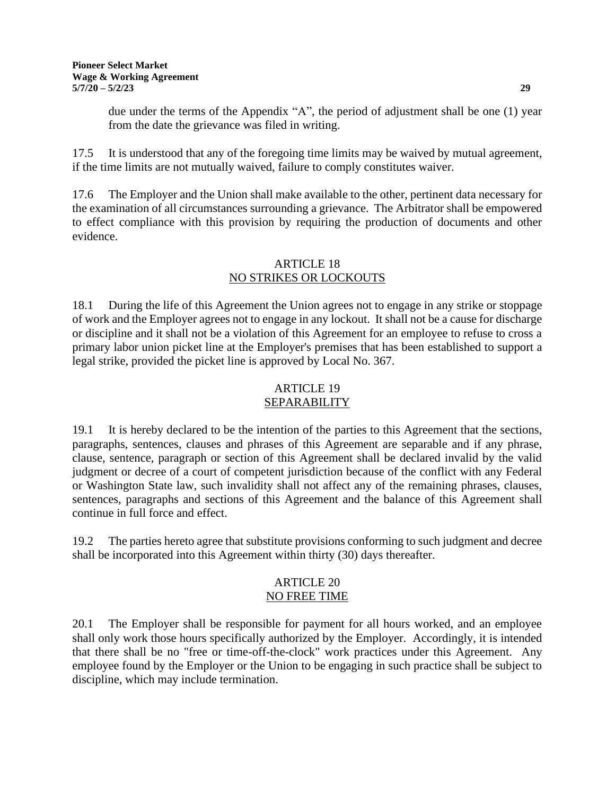due under the terms of the Appendix "A", the period of adjustment shall be one (1) year from the date the grievance was filed in writing.

17.5 It is understood that any of the foregoing time limits may be waived by mutual agreement, if the time limits are not mutually waived, failure to comply constitutes waiver.

17.6 The Employer and the Union shall make available to the other, pertinent data necessary for the examination of all circumstances surrounding a grievance. The Arbitrator shall be empowered to effect compliance with this provision by requiring the production of documents and other evidence.

## ARTICLE 18 NO STRIKES OR LOCKOUTS

18.1 During the life of this Agreement the Union agrees not to engage in any strike or stoppage of work and the Employer agrees not to engage in any lockout. It shall not be a cause for discharge or discipline and it shall not be a violation of this Agreement for an employee to refuse to cross a primary labor union picket line at the Employer's premises that has been established to support a legal strike, provided the picket line is approved by Local No. 367.

#### ARTICLE 19 SEPARABILITY

19.1 It is hereby declared to be the intention of the parties to this Agreement that the sections, paragraphs, sentences, clauses and phrases of this Agreement are separable and if any phrase, clause, sentence, paragraph or section of this Agreement shall be declared invalid by the valid judgment or decree of a court of competent jurisdiction because of the conflict with any Federal or Washington State law, such invalidity shall not affect any of the remaining phrases, clauses, sentences, paragraphs and sections of this Agreement and the balance of this Agreement shall continue in full force and effect.

19.2 The parties hereto agree that substitute provisions conforming to such judgment and decree shall be incorporated into this Agreement within thirty (30) days thereafter.

## ARTICLE 20 NO FREE TIME

20.1 The Employer shall be responsible for payment for all hours worked, and an employee shall only work those hours specifically authorized by the Employer. Accordingly, it is intended that there shall be no "free or time-off-the-clock" work practices under this Agreement. Any employee found by the Employer or the Union to be engaging in such practice shall be subject to discipline, which may include termination.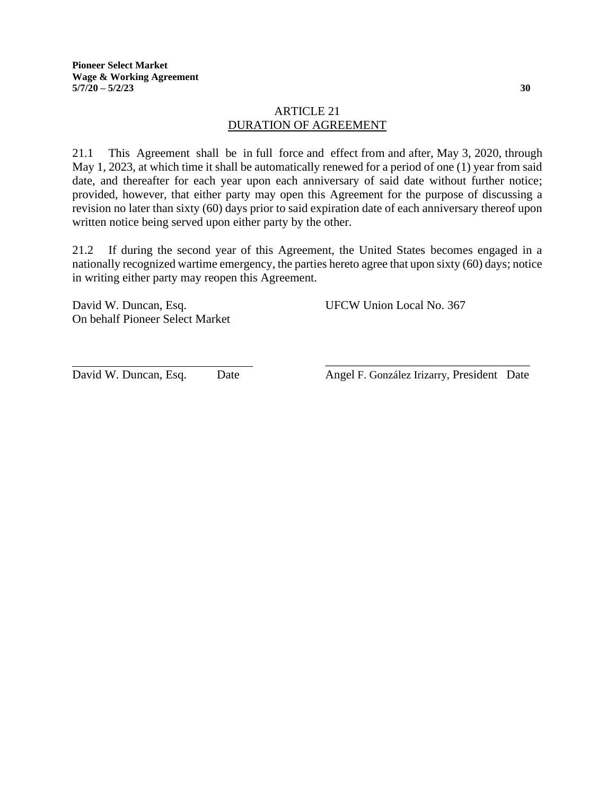## ARTICLE 21 DURATION OF AGREEMENT

21.1 This Agreement shall be in full force and effect from and after, May 3, 2020, through May 1, 2023, at which time it shall be automatically renewed for a period of one (1) year from said date, and thereafter for each year upon each anniversary of said date without further notice; provided, however, that either party may open this Agreement for the purpose of discussing a revision no later than sixty (60) days prior to said expiration date of each anniversary thereof upon written notice being served upon either party by the other.

21.2 If during the second year of this Agreement, the United States becomes engaged in a nationally recognized wartime emergency, the parties hereto agree that upon sixty (60) days; notice in writing either party may reopen this Agreement.

David W. Duncan, Esq. UFCW Union Local No. 367 On behalf Pioneer Select Market

\_\_\_\_\_\_\_\_\_\_\_\_\_\_\_\_\_\_\_\_\_\_\_\_\_\_\_\_\_\_\_\_\_\_ David W. Duncan, Esq. Date Angel F. González Irizarry, President Date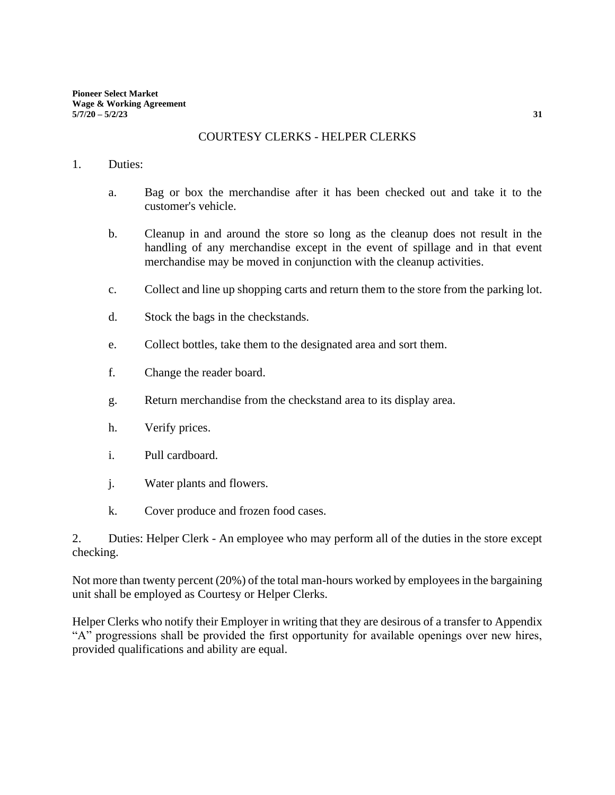#### COURTESY CLERKS - HELPER CLERKS

#### 1. Duties:

- a. Bag or box the merchandise after it has been checked out and take it to the customer's vehicle.
- b. Cleanup in and around the store so long as the cleanup does not result in the handling of any merchandise except in the event of spillage and in that event merchandise may be moved in conjunction with the cleanup activities.
- c. Collect and line up shopping carts and return them to the store from the parking lot.
- d. Stock the bags in the checkstands.
- e. Collect bottles, take them to the designated area and sort them.
- f. Change the reader board.
- g. Return merchandise from the checkstand area to its display area.
- h. Verify prices.
- i. Pull cardboard.
- j. Water plants and flowers.
- k. Cover produce and frozen food cases.

2. Duties: Helper Clerk - An employee who may perform all of the duties in the store except checking.

Not more than twenty percent (20%) of the total man-hours worked by employees in the bargaining unit shall be employed as Courtesy or Helper Clerks.

Helper Clerks who notify their Employer in writing that they are desirous of a transfer to Appendix "A" progressions shall be provided the first opportunity for available openings over new hires, provided qualifications and ability are equal.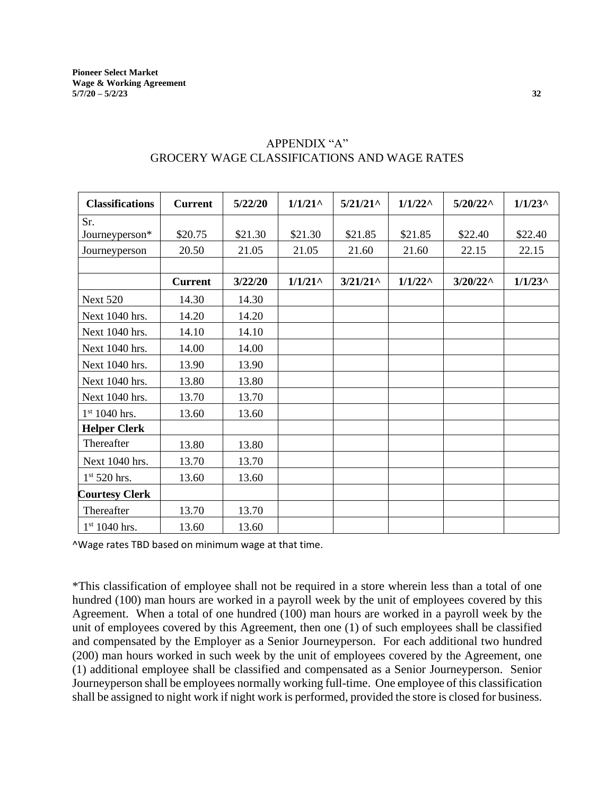| <b>Classifications</b>   | <b>Current</b> | 5/22/20 | $1/1/21$ <sup>^</sup> | $5/21/21$ ^        | $1/1/22^{\wedge}$ | $5/20/22^{\wedge}$ | $1/1/23$ ^ |
|--------------------------|----------------|---------|-----------------------|--------------------|-------------------|--------------------|------------|
| Sr.                      |                |         |                       |                    |                   |                    |            |
| Journeyperson*           | \$20.75        | \$21.30 | \$21.30               | \$21.85            | \$21.85           | \$22.40            | \$22.40    |
| Journeyperson            | 20.50          | 21.05   | 21.05                 | 21.60              | 21.60             | 22.15              | 22.15      |
|                          |                |         |                       |                    |                   |                    |            |
|                          | <b>Current</b> | 3/22/20 | $1/1/21$ ^            | $3/21/21^{\wedge}$ | $1/1/22^{\wedge}$ | $3/20/22^{\wedge}$ | $1/1/23$ ^ |
| <b>Next 520</b>          | 14.30          | 14.30   |                       |                    |                   |                    |            |
| Next 1040 hrs.           | 14.20          | 14.20   |                       |                    |                   |                    |            |
| Next 1040 hrs.           | 14.10          | 14.10   |                       |                    |                   |                    |            |
| Next 1040 hrs.           | 14.00          | 14.00   |                       |                    |                   |                    |            |
| Next 1040 hrs.           | 13.90          | 13.90   |                       |                    |                   |                    |            |
| Next 1040 hrs.           | 13.80          | 13.80   |                       |                    |                   |                    |            |
| Next 1040 hrs.           | 13.70          | 13.70   |                       |                    |                   |                    |            |
| $1st 1040$ hrs.          | 13.60          | 13.60   |                       |                    |                   |                    |            |
| <b>Helper Clerk</b>      |                |         |                       |                    |                   |                    |            |
| Thereafter               | 13.80          | 13.80   |                       |                    |                   |                    |            |
| Next 1040 hrs.           | 13.70          | 13.70   |                       |                    |                   |                    |            |
| 1 <sup>st</sup> 520 hrs. | 13.60          | 13.60   |                       |                    |                   |                    |            |
| <b>Courtesy Clerk</b>    |                |         |                       |                    |                   |                    |            |
| Thereafter               | 13.70          | 13.70   |                       |                    |                   |                    |            |
| $1st 1040$ hrs.          | 13.60          | 13.60   |                       |                    |                   |                    |            |

# APPENDIX "A" GROCERY WAGE CLASSIFICATIONS AND WAGE RATES

^Wage rates TBD based on minimum wage at that time.

\*This classification of employee shall not be required in a store wherein less than a total of one hundred (100) man hours are worked in a payroll week by the unit of employees covered by this Agreement. When a total of one hundred (100) man hours are worked in a payroll week by the unit of employees covered by this Agreement, then one (1) of such employees shall be classified and compensated by the Employer as a Senior Journeyperson. For each additional two hundred (200) man hours worked in such week by the unit of employees covered by the Agreement, one (1) additional employee shall be classified and compensated as a Senior Journeyperson. Senior Journeyperson shall be employees normally working full-time. One employee of this classification shall be assigned to night work if night work is performed, provided the store is closed for business.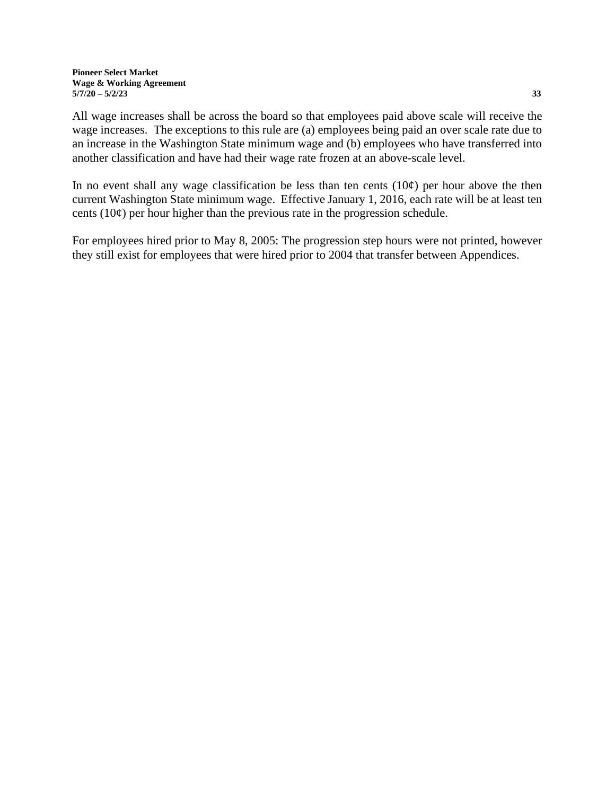All wage increases shall be across the board so that employees paid above scale will receive the wage increases. The exceptions to this rule are (a) employees being paid an over scale rate due to an increase in the Washington State minimum wage and (b) employees who have transferred into another classification and have had their wage rate frozen at an above-scale level.

In no event shall any wage classification be less than ten cents  $(10¢)$  per hour above the then current Washington State minimum wage. Effective January 1, 2016, each rate will be at least ten cents  $(10¢)$  per hour higher than the previous rate in the progression schedule.

For employees hired prior to May 8, 2005: The progression step hours were not printed, however they still exist for employees that were hired prior to 2004 that transfer between Appendices.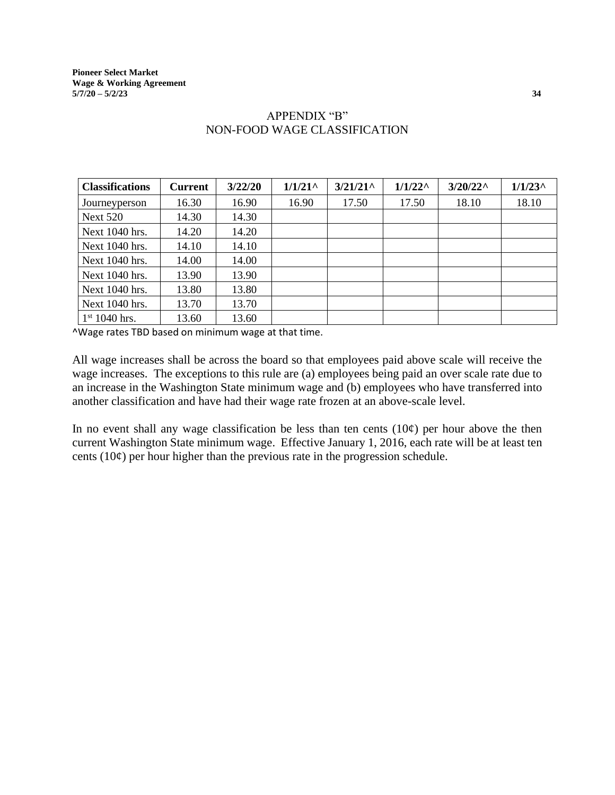| <b>Classifications</b> | <b>Current</b> | 3/22/20 | $1/1/21$ <sup>^</sup> | $3/21/21$ <sup>^</sup> | $1/1/22^{\wedge}$ | $3/20/22^{\wedge}$ | $1/1/23$ ^ |
|------------------------|----------------|---------|-----------------------|------------------------|-------------------|--------------------|------------|
| Journeyperson          | 16.30          | 16.90   | 16.90                 | 17.50                  | 17.50             | 18.10              | 18.10      |
| <b>Next 520</b>        | 14.30          | 14.30   |                       |                        |                   |                    |            |
| Next 1040 hrs.         | 14.20          | 14.20   |                       |                        |                   |                    |            |
| Next 1040 hrs.         | 14.10          | 14.10   |                       |                        |                   |                    |            |
| Next 1040 hrs.         | 14.00          | 14.00   |                       |                        |                   |                    |            |
| Next 1040 hrs.         | 13.90          | 13.90   |                       |                        |                   |                    |            |
| Next 1040 hrs.         | 13.80          | 13.80   |                       |                        |                   |                    |            |
| Next 1040 hrs.         | 13.70          | 13.70   |                       |                        |                   |                    |            |
| $1st 1040$ hrs.        | 13.60          | 13.60   |                       |                        |                   |                    |            |

## APPENDIX "B" NON-FOOD WAGE CLASSIFICATION

^Wage rates TBD based on minimum wage at that time.

All wage increases shall be across the board so that employees paid above scale will receive the wage increases. The exceptions to this rule are (a) employees being paid an over scale rate due to an increase in the Washington State minimum wage and (b) employees who have transferred into another classification and have had their wage rate frozen at an above-scale level.

In no event shall any wage classification be less than ten cents  $(10¢)$  per hour above the then current Washington State minimum wage. Effective January 1, 2016, each rate will be at least ten cents  $(10¢)$  per hour higher than the previous rate in the progression schedule.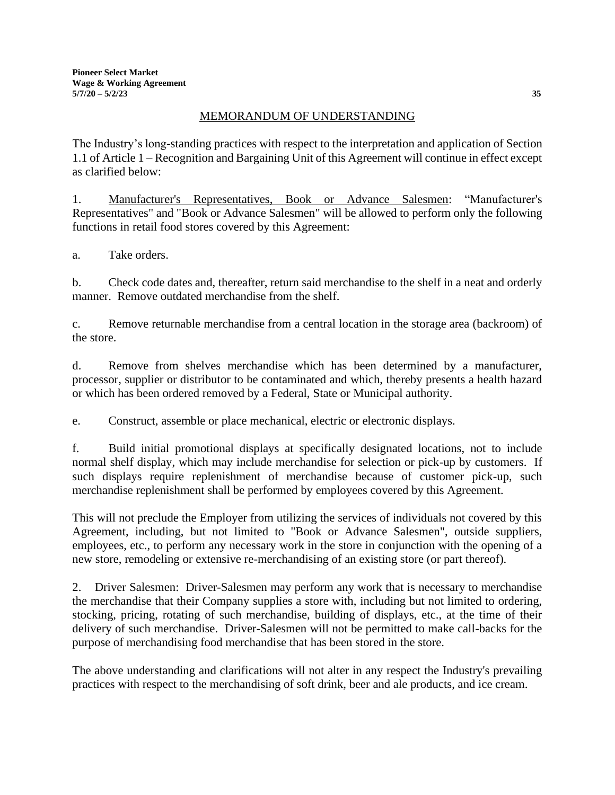## MEMORANDUM OF UNDERSTANDING

The Industry's long-standing practices with respect to the interpretation and application of Section 1.1 of Article 1 – Recognition and Bargaining Unit of this Agreement will continue in effect except as clarified below:

1. Manufacturer's Representatives, Book or Advance Salesmen: "Manufacturer's Representatives" and "Book or Advance Salesmen" will be allowed to perform only the following functions in retail food stores covered by this Agreement:

a. Take orders.

b. Check code dates and, thereafter, return said merchandise to the shelf in a neat and orderly manner. Remove outdated merchandise from the shelf.

c. Remove returnable merchandise from a central location in the storage area (backroom) of the store.

d. Remove from shelves merchandise which has been determined by a manufacturer, processor, supplier or distributor to be contaminated and which, thereby presents a health hazard or which has been ordered removed by a Federal, State or Municipal authority.

e. Construct, assemble or place mechanical, electric or electronic displays.

f. Build initial promotional displays at specifically designated locations, not to include normal shelf display, which may include merchandise for selection or pick-up by customers. If such displays require replenishment of merchandise because of customer pick-up, such merchandise replenishment shall be performed by employees covered by this Agreement.

This will not preclude the Employer from utilizing the services of individuals not covered by this Agreement, including, but not limited to "Book or Advance Salesmen", outside suppliers, employees, etc., to perform any necessary work in the store in conjunction with the opening of a new store, remodeling or extensive re-merchandising of an existing store (or part thereof).

2. Driver Salesmen: Driver-Salesmen may perform any work that is necessary to merchandise the merchandise that their Company supplies a store with, including but not limited to ordering, stocking, pricing, rotating of such merchandise, building of displays, etc., at the time of their delivery of such merchandise. Driver-Salesmen will not be permitted to make call-backs for the purpose of merchandising food merchandise that has been stored in the store.

The above understanding and clarifications will not alter in any respect the Industry's prevailing practices with respect to the merchandising of soft drink, beer and ale products, and ice cream.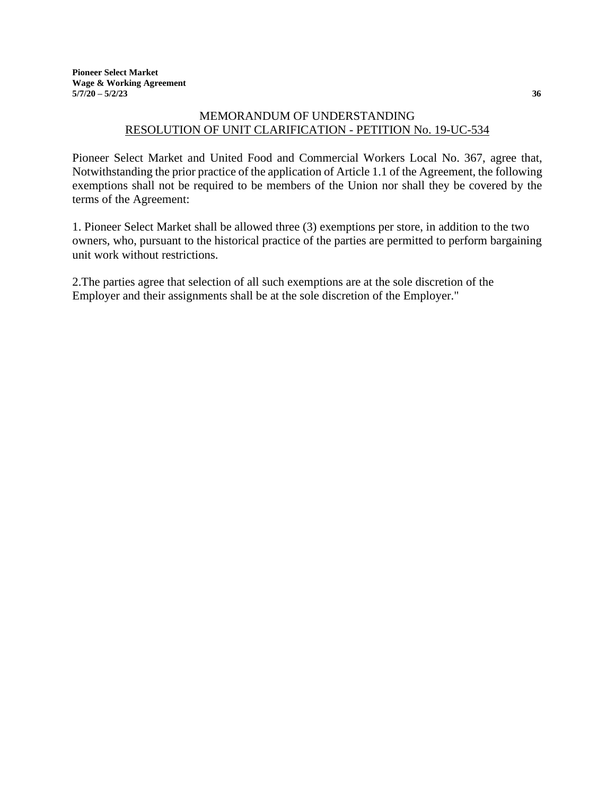# MEMORANDUM OF UNDERSTANDING RESOLUTION OF UNIT CLARIFICATION - PETITION No. 19-UC-534

Pioneer Select Market and United Food and Commercial Workers Local No. 367, agree that, Notwithstanding the prior practice of the application of Article 1.1 of the Agreement, the following exemptions shall not be required to be members of the Union nor shall they be covered by the terms of the Agreement:

1. Pioneer Select Market shall be allowed three (3) exemptions per store, in addition to the two owners, who, pursuant to the historical practice of the parties are permitted to perform bargaining unit work without restrictions.

2.The parties agree that selection of all such exemptions are at the sole discretion of the Employer and their assignments shall be at the sole discretion of the Employer."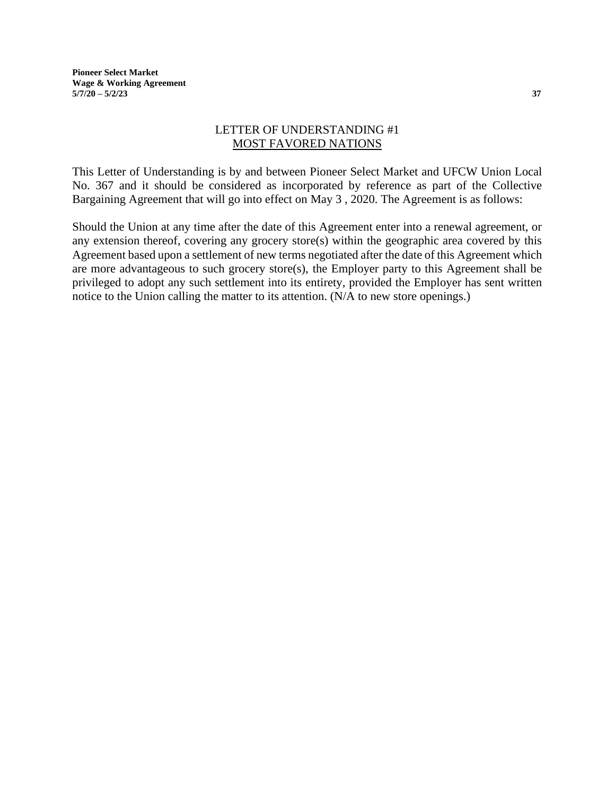**Pioneer Select Market Wage & Working Agreement 5/7/20 – 5/2/23 37**

#### LETTER OF UNDERSTANDING #1 MOST FAVORED NATIONS

This Letter of Understanding is by and between Pioneer Select Market and UFCW Union Local No. 367 and it should be considered as incorporated by reference as part of the Collective Bargaining Agreement that will go into effect on May 3 , 2020. The Agreement is as follows:

Should the Union at any time after the date of this Agreement enter into a renewal agreement, or any extension thereof, covering any grocery store(s) within the geographic area covered by this Agreement based upon a settlement of new terms negotiated after the date of this Agreement which are more advantageous to such grocery store(s), the Employer party to this Agreement shall be privileged to adopt any such settlement into its entirety, provided the Employer has sent written notice to the Union calling the matter to its attention. (N/A to new store openings.)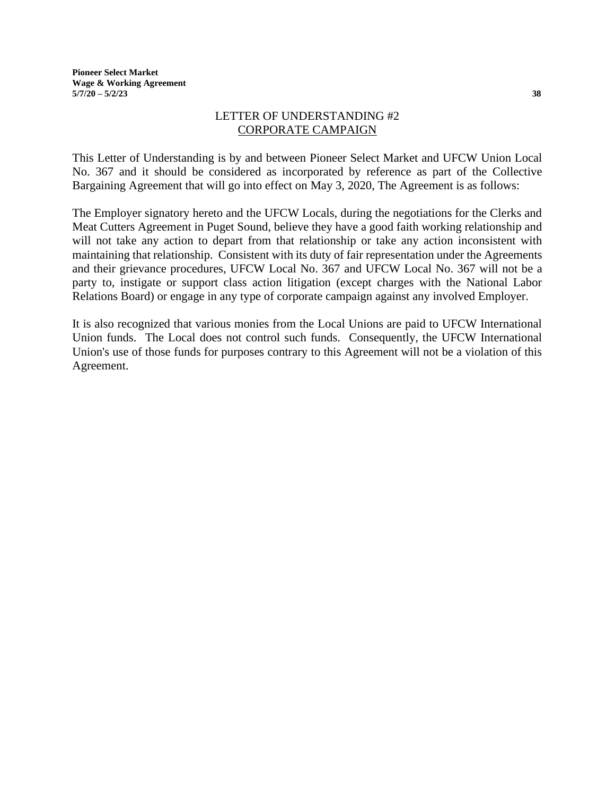#### LETTER OF UNDERSTANDING #2 CORPORATE CAMPAIGN

This Letter of Understanding is by and between Pioneer Select Market and UFCW Union Local No. 367 and it should be considered as incorporated by reference as part of the Collective Bargaining Agreement that will go into effect on May 3, 2020, The Agreement is as follows:

The Employer signatory hereto and the UFCW Locals, during the negotiations for the Clerks and Meat Cutters Agreement in Puget Sound, believe they have a good faith working relationship and will not take any action to depart from that relationship or take any action inconsistent with maintaining that relationship. Consistent with its duty of fair representation under the Agreements and their grievance procedures, UFCW Local No. 367 and UFCW Local No. 367 will not be a party to, instigate or support class action litigation (except charges with the National Labor Relations Board) or engage in any type of corporate campaign against any involved Employer.

It is also recognized that various monies from the Local Unions are paid to UFCW International Union funds. The Local does not control such funds. Consequently, the UFCW International Union's use of those funds for purposes contrary to this Agreement will not be a violation of this Agreement.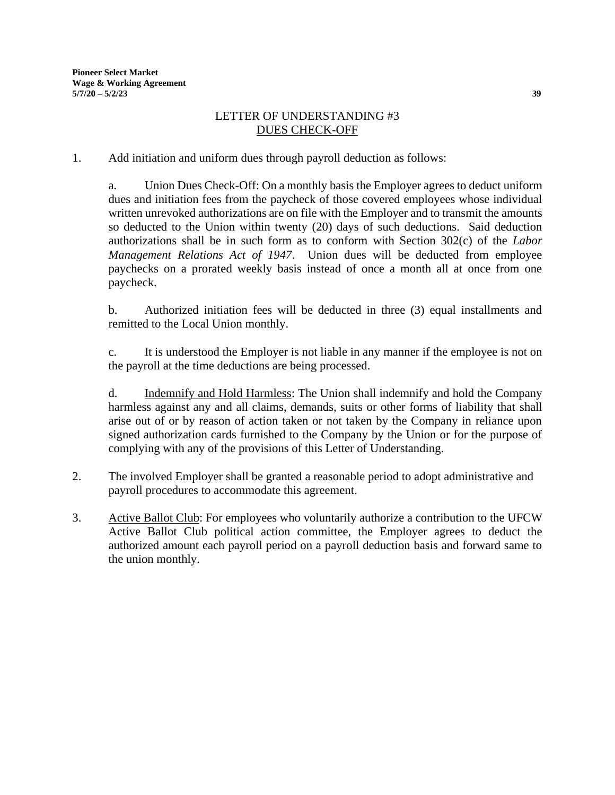## LETTER OF UNDERSTANDING #3 DUES CHECK-OFF

1. Add initiation and uniform dues through payroll deduction as follows:

a. Union Dues Check-Off: On a monthly basis the Employer agrees to deduct uniform dues and initiation fees from the paycheck of those covered employees whose individual written unrevoked authorizations are on file with the Employer and to transmit the amounts so deducted to the Union within twenty (20) days of such deductions. Said deduction authorizations shall be in such form as to conform with Section 302(c) of the *Labor Management Relations Act of 1947*. Union dues will be deducted from employee paychecks on a prorated weekly basis instead of once a month all at once from one paycheck.

b. Authorized initiation fees will be deducted in three (3) equal installments and remitted to the Local Union monthly.

c. It is understood the Employer is not liable in any manner if the employee is not on the payroll at the time deductions are being processed.

d. Indemnify and Hold Harmless: The Union shall indemnify and hold the Company harmless against any and all claims, demands, suits or other forms of liability that shall arise out of or by reason of action taken or not taken by the Company in reliance upon signed authorization cards furnished to the Company by the Union or for the purpose of complying with any of the provisions of this Letter of Understanding.

- 2. The involved Employer shall be granted a reasonable period to adopt administrative and payroll procedures to accommodate this agreement.
- 3. Active Ballot Club: For employees who voluntarily authorize a contribution to the UFCW Active Ballot Club political action committee, the Employer agrees to deduct the authorized amount each payroll period on a payroll deduction basis and forward same to the union monthly.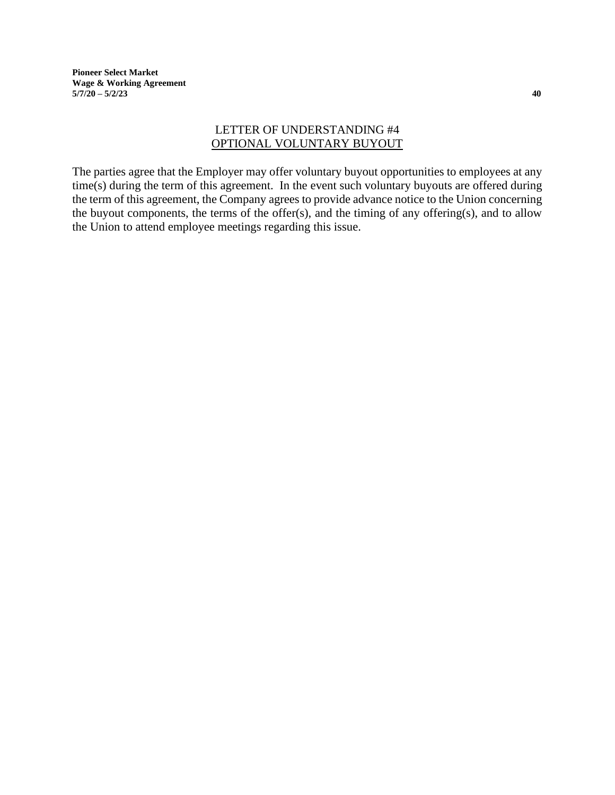**Pioneer Select Market Wage & Working Agreement 5/7/20 – 5/2/23 40**

## LETTER OF UNDERSTANDING #4 OPTIONAL VOLUNTARY BUYOUT

The parties agree that the Employer may offer voluntary buyout opportunities to employees at any time(s) during the term of this agreement. In the event such voluntary buyouts are offered during the term of this agreement, the Company agrees to provide advance notice to the Union concerning the buyout components, the terms of the offer(s), and the timing of any offering(s), and to allow the Union to attend employee meetings regarding this issue.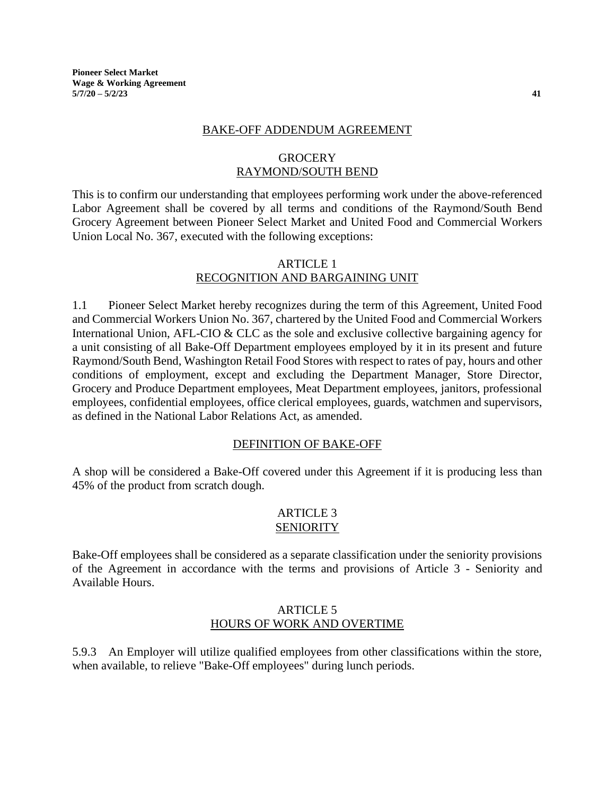**Pioneer Select Market Wage & Working Agreement 5/7/20 – 5/2/23 41**

#### BAKE-OFF ADDENDUM AGREEMENT

#### **GROCERY** RAYMOND/SOUTH BEND

This is to confirm our understanding that employees performing work under the above-referenced Labor Agreement shall be covered by all terms and conditions of the Raymond/South Bend Grocery Agreement between Pioneer Select Market and United Food and Commercial Workers Union Local No. 367, executed with the following exceptions:

#### ARTICLE 1 RECOGNITION AND BARGAINING UNIT

1.1 Pioneer Select Market hereby recognizes during the term of this Agreement, United Food and Commercial Workers Union No. 367, chartered by the United Food and Commercial Workers International Union, AFL-CIO & CLC as the sole and exclusive collective bargaining agency for a unit consisting of all Bake-Off Department employees employed by it in its present and future Raymond/South Bend, Washington Retail Food Stores with respect to rates of pay, hours and other conditions of employment, except and excluding the Department Manager, Store Director, Grocery and Produce Department employees, Meat Department employees, janitors, professional employees, confidential employees, office clerical employees, guards, watchmen and supervisors, as defined in the National Labor Relations Act, as amended.

#### DEFINITION OF BAKE-OFF

A shop will be considered a Bake-Off covered under this Agreement if it is producing less than 45% of the product from scratch dough.

#### ARTICLE 3 **SENIORITY**

Bake-Off employees shall be considered as a separate classification under the seniority provisions of the Agreement in accordance with the terms and provisions of Article 3 - Seniority and Available Hours.

#### ARTICLE 5 HOURS OF WORK AND OVERTIME

5.9.3 An Employer will utilize qualified employees from other classifications within the store, when available, to relieve "Bake-Off employees" during lunch periods.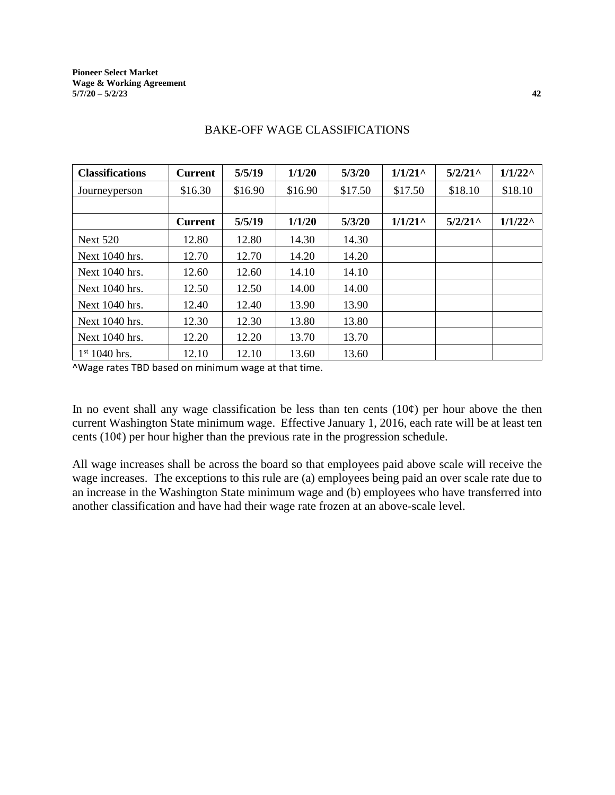| <b>Classifications</b> | <b>Current</b> | 5/5/19  | 1/1/20  | 5/3/20  | $1/1/21$ <sup>^</sup>                   | 5/2/21     | $1/1/22^{\wedge}$ |
|------------------------|----------------|---------|---------|---------|-----------------------------------------|------------|-------------------|
| Journeyperson          | \$16.30        | \$16.90 | \$16.90 | \$17.50 | \$17.50                                 | \$18.10    | \$18.10           |
|                        |                |         |         |         |                                         |            |                   |
|                        | <b>Current</b> | 5/5/19  | 1/1/20  | 5/3/20  | $1/1/21$ <sup><math>\wedge</math></sup> | $5/2/21$ ^ | $1/1/22^{\wedge}$ |
| <b>Next 520</b>        | 12.80          | 12.80   | 14.30   | 14.30   |                                         |            |                   |
| Next 1040 hrs.         | 12.70          | 12.70   | 14.20   | 14.20   |                                         |            |                   |
| Next $1040$ hrs.       | 12.60          | 12.60   | 14.10   | 14.10   |                                         |            |                   |
| Next 1040 hrs.         | 12.50          | 12.50   | 14.00   | 14.00   |                                         |            |                   |
| Next 1040 hrs.         | 12.40          | 12.40   | 13.90   | 13.90   |                                         |            |                   |
| Next 1040 hrs.         | 12.30          | 12.30   | 13.80   | 13.80   |                                         |            |                   |
| Next 1040 hrs.         | 12.20          | 12.20   | 13.70   | 13.70   |                                         |            |                   |
| $1st 1040$ hrs.        | 12.10          | 12.10   | 13.60   | 13.60   |                                         |            |                   |

#### BAKE-OFF WAGE CLASSIFICATIONS

^Wage rates TBD based on minimum wage at that time.

In no event shall any wage classification be less than ten cents  $(10¢)$  per hour above the then current Washington State minimum wage. Effective January 1, 2016, each rate will be at least ten cents  $(10¢)$  per hour higher than the previous rate in the progression schedule.

All wage increases shall be across the board so that employees paid above scale will receive the wage increases. The exceptions to this rule are (a) employees being paid an over scale rate due to an increase in the Washington State minimum wage and (b) employees who have transferred into another classification and have had their wage rate frozen at an above-scale level.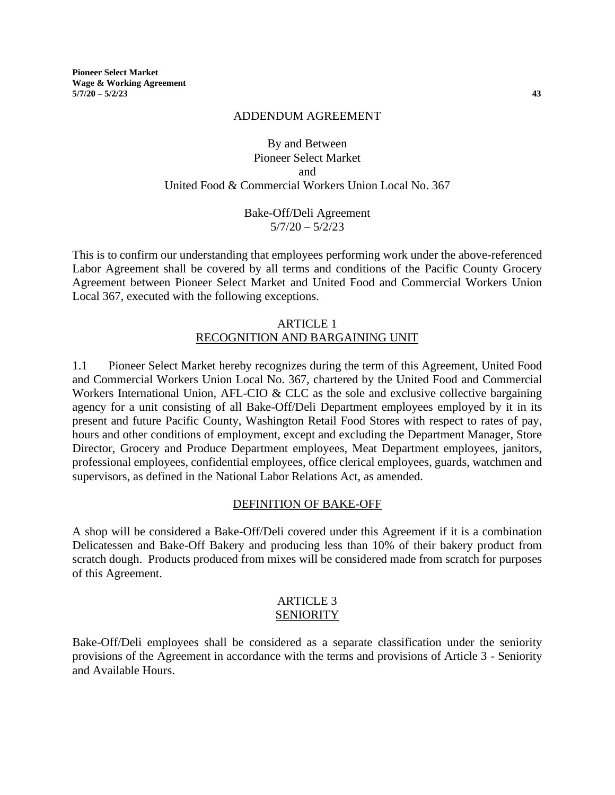**Pioneer Select Market Wage & Working Agreement 5/7/20 – 5/2/23 43**

#### ADDENDUM AGREEMENT

# By and Between Pioneer Select Market and United Food & Commercial Workers Union Local No. 367

## Bake-Off/Deli Agreement  $5/7/20 - 5/2/23$

This is to confirm our understanding that employees performing work under the above-referenced Labor Agreement shall be covered by all terms and conditions of the Pacific County Grocery Agreement between Pioneer Select Market and United Food and Commercial Workers Union Local 367, executed with the following exceptions.

#### ARTICLE 1 RECOGNITION AND BARGAINING UNIT

1.1 Pioneer Select Market hereby recognizes during the term of this Agreement, United Food and Commercial Workers Union Local No. 367, chartered by the United Food and Commercial Workers International Union, AFL-CIO & CLC as the sole and exclusive collective bargaining agency for a unit consisting of all Bake-Off/Deli Department employees employed by it in its present and future Pacific County, Washington Retail Food Stores with respect to rates of pay, hours and other conditions of employment, except and excluding the Department Manager, Store Director, Grocery and Produce Department employees, Meat Department employees, janitors, professional employees, confidential employees, office clerical employees, guards, watchmen and supervisors, as defined in the National Labor Relations Act, as amended.

#### DEFINITION OF BAKE-OFF

A shop will be considered a Bake-Off/Deli covered under this Agreement if it is a combination Delicatessen and Bake-Off Bakery and producing less than 10% of their bakery product from scratch dough. Products produced from mixes will be considered made from scratch for purposes of this Agreement.

#### ARTICLE 3 **SENIORITY**

Bake-Off/Deli employees shall be considered as a separate classification under the seniority provisions of the Agreement in accordance with the terms and provisions of Article 3 - Seniority and Available Hours.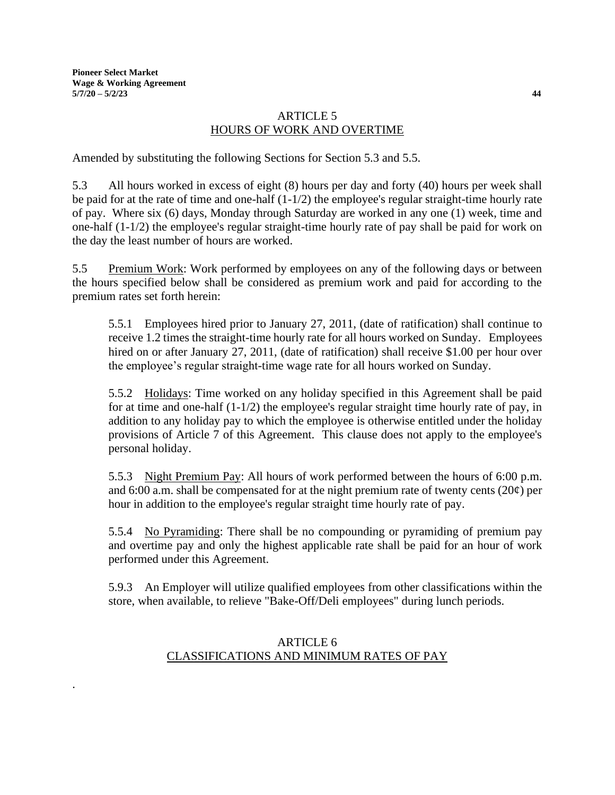.

## ARTICLE 5 HOURS OF WORK AND OVERTIME

Amended by substituting the following Sections for Section 5.3 and 5.5.

5.3 All hours worked in excess of eight (8) hours per day and forty (40) hours per week shall be paid for at the rate of time and one-half (1-1/2) the employee's regular straight-time hourly rate of pay. Where six (6) days, Monday through Saturday are worked in any one (1) week, time and one-half (1-1/2) the employee's regular straight-time hourly rate of pay shall be paid for work on the day the least number of hours are worked.

5.5 Premium Work: Work performed by employees on any of the following days or between the hours specified below shall be considered as premium work and paid for according to the premium rates set forth herein:

5.5.1 Employees hired prior to January 27, 2011, (date of ratification) shall continue to receive 1.2 times the straight-time hourly rate for all hours worked on Sunday. Employees hired on or after January 27, 2011, (date of ratification) shall receive \$1.00 per hour over the employee's regular straight-time wage rate for all hours worked on Sunday.

5.5.2 Holidays: Time worked on any holiday specified in this Agreement shall be paid for at time and one-half (1-1/2) the employee's regular straight time hourly rate of pay, in addition to any holiday pay to which the employee is otherwise entitled under the holiday provisions of Article 7 of this Agreement. This clause does not apply to the employee's personal holiday.

5.5.3 Night Premium Pay: All hours of work performed between the hours of 6:00 p.m. and 6:00 a.m. shall be compensated for at the night premium rate of twenty cents (20¢) per hour in addition to the employee's regular straight time hourly rate of pay.

5.5.4 No Pyramiding: There shall be no compounding or pyramiding of premium pay and overtime pay and only the highest applicable rate shall be paid for an hour of work performed under this Agreement.

5.9.3 An Employer will utilize qualified employees from other classifications within the store, when available, to relieve "Bake-Off/Deli employees" during lunch periods.

# ARTICLE 6 CLASSIFICATIONS AND MINIMUM RATES OF PAY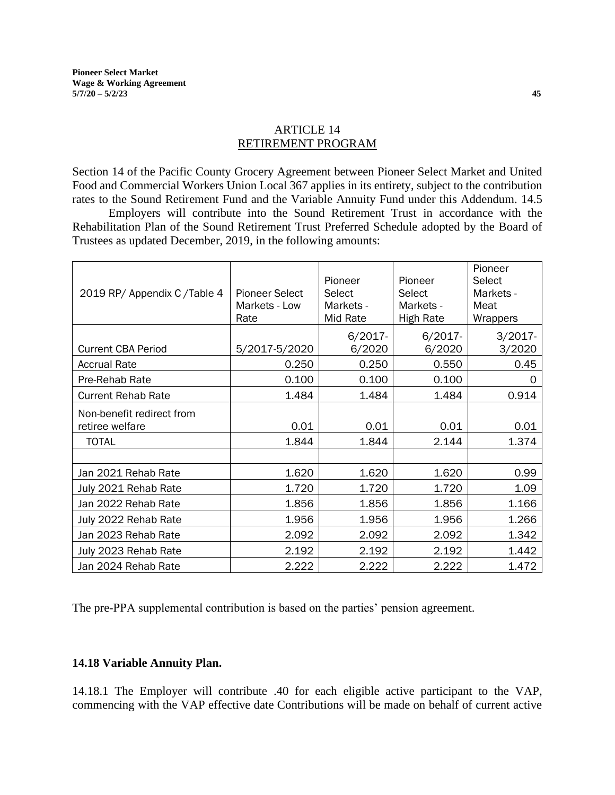## ARTICLE 14 RETIREMENT PROGRAM

Section 14 of the Pacific County Grocery Agreement between Pioneer Select Market and United Food and Commercial Workers Union Local 367 applies in its entirety, subject to the contribution rates to the Sound Retirement Fund and the Variable Annuity Fund under this Addendum. 14.5

Employers will contribute into the Sound Retirement Trust in accordance with the Rehabilitation Plan of the Sound Retirement Trust Preferred Schedule adopted by the Board of Trustees as updated December, 2019, in the following amounts:

| 2019 RP/ Appendix C/Table 4                  | <b>Pioneer Select</b><br>Markets - Low<br>Rate | Pioneer<br>Select<br>Markets -<br>Mid Rate | Pioneer<br>Select<br>Markets -<br><b>High Rate</b> | Pioneer<br>Select<br>Markets -<br>Meat<br>Wrappers |  |
|----------------------------------------------|------------------------------------------------|--------------------------------------------|----------------------------------------------------|----------------------------------------------------|--|
| <b>Current CBA Period</b>                    | 5/2017-5/2020                                  | $6/2017 -$<br>6/2020                       | $6/2017 -$<br>6/2020                               | $3/2017 -$<br>3/2020                               |  |
| <b>Accrual Rate</b>                          | 0.250                                          | 0.250                                      | 0.550                                              | 0.45                                               |  |
| Pre-Rehab Rate                               | 0.100                                          | 0.100                                      | 0.100                                              | 0                                                  |  |
| <b>Current Rehab Rate</b>                    | 1.484                                          | 1.484                                      | 1.484                                              | 0.914                                              |  |
| Non-benefit redirect from<br>retiree welfare | 0.01                                           | 0.01                                       | 0.01                                               | 0.01                                               |  |
| <b>TOTAL</b>                                 | 1.844                                          | 1.844                                      | 2.144                                              | 1.374                                              |  |
|                                              |                                                |                                            |                                                    |                                                    |  |
| Jan 2021 Rehab Rate                          | 1.620                                          | 1.620                                      | 1.620                                              | 0.99                                               |  |
| July 2021 Rehab Rate                         | 1.720                                          | 1.720                                      | 1.720                                              | 1.09                                               |  |
| Jan 2022 Rehab Rate                          | 1.856                                          | 1.856                                      | 1.856                                              | 1.166                                              |  |
| July 2022 Rehab Rate                         | 1.956                                          | 1.956                                      | 1.956                                              | 1.266                                              |  |
| Jan 2023 Rehab Rate                          | 2.092                                          | 2.092                                      | 2.092                                              | 1.342                                              |  |
| July 2023 Rehab Rate                         | 2.192                                          | 2.192                                      | 2.192                                              | 1.442                                              |  |
| Jan 2024 Rehab Rate                          | 2.222                                          | 2.222                                      | 2.222                                              | 1.472                                              |  |

The pre-PPA supplemental contribution is based on the parties' pension agreement.

## **14.18 Variable Annuity Plan.**

14.18.1 The Employer will contribute .40 for each eligible active participant to the VAP, commencing with the VAP effective date Contributions will be made on behalf of current active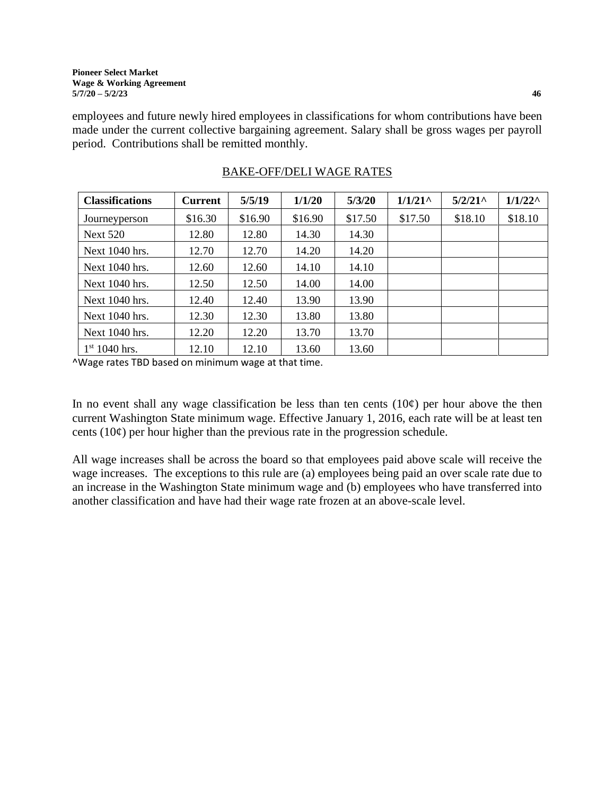employees and future newly hired employees in classifications for whom contributions have been made under the current collective bargaining agreement. Salary shall be gross wages per payroll period. Contributions shall be remitted monthly.

| <b>Classifications</b> | <b>Current</b> | 5/5/19  | 1/1/20  | 5/3/20  | $1/1/21$ <sup>^</sup> | 5/2/21  | $1/1/22^{\wedge}$ |
|------------------------|----------------|---------|---------|---------|-----------------------|---------|-------------------|
| Journeyperson          | \$16.30        | \$16.90 | \$16.90 | \$17.50 | \$17.50               | \$18.10 | \$18.10           |
| <b>Next 520</b>        | 12.80          | 12.80   | 14.30   | 14.30   |                       |         |                   |
| Next 1040 hrs.         | 12.70          | 12.70   | 14.20   | 14.20   |                       |         |                   |
| Next $1040$ hrs.       | 12.60          | 12.60   | 14.10   | 14.10   |                       |         |                   |
| Next 1040 hrs.         | 12.50          | 12.50   | 14.00   | 14.00   |                       |         |                   |
| Next 1040 hrs.         | 12.40          | 12.40   | 13.90   | 13.90   |                       |         |                   |
| Next $1040$ hrs.       | 12.30          | 12.30   | 13.80   | 13.80   |                       |         |                   |
| Next 1040 hrs.         | 12.20          | 12.20   | 13.70   | 13.70   |                       |         |                   |
| $1st 1040$ hrs.        | 12.10          | 12.10   | 13.60   | 13.60   |                       |         |                   |

# BAKE-OFF/DELI WAGE RATES

^Wage rates TBD based on minimum wage at that time.

In no event shall any wage classification be less than ten cents  $(10¢)$  per hour above the then current Washington State minimum wage. Effective January 1, 2016, each rate will be at least ten cents  $(10¢)$  per hour higher than the previous rate in the progression schedule.

All wage increases shall be across the board so that employees paid above scale will receive the wage increases. The exceptions to this rule are (a) employees being paid an over scale rate due to an increase in the Washington State minimum wage and (b) employees who have transferred into another classification and have had their wage rate frozen at an above-scale level.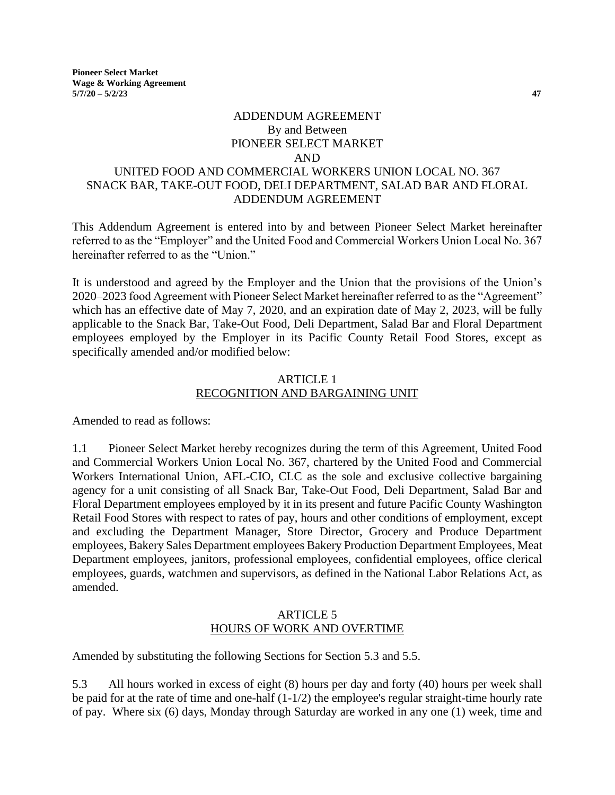**Pioneer Select Market Wage & Working Agreement 5/7/20 – 5/2/23 47**

# ADDENDUM AGREEMENT By and Between PIONEER SELECT MARKET AND UNITED FOOD AND COMMERCIAL WORKERS UNION LOCAL NO. 367 SNACK BAR, TAKE-OUT FOOD, DELI DEPARTMENT, SALAD BAR AND FLORAL ADDENDUM AGREEMENT

This Addendum Agreement is entered into by and between Pioneer Select Market hereinafter referred to as the "Employer" and the United Food and Commercial Workers Union Local No. 367 hereinafter referred to as the "Union."

It is understood and agreed by the Employer and the Union that the provisions of the Union's 2020–2023 food Agreement with Pioneer Select Market hereinafter referred to as the "Agreement" which has an effective date of May 7, 2020, and an expiration date of May 2, 2023, will be fully applicable to the Snack Bar, Take-Out Food, Deli Department, Salad Bar and Floral Department employees employed by the Employer in its Pacific County Retail Food Stores, except as specifically amended and/or modified below:

#### ARTICLE 1 RECOGNITION AND BARGAINING UNIT

Amended to read as follows:

1.1 Pioneer Select Market hereby recognizes during the term of this Agreement, United Food and Commercial Workers Union Local No. 367, chartered by the United Food and Commercial Workers International Union, AFL-CIO, CLC as the sole and exclusive collective bargaining agency for a unit consisting of all Snack Bar, Take-Out Food, Deli Department, Salad Bar and Floral Department employees employed by it in its present and future Pacific County Washington Retail Food Stores with respect to rates of pay, hours and other conditions of employment, except and excluding the Department Manager, Store Director, Grocery and Produce Department employees, Bakery Sales Department employees Bakery Production Department Employees, Meat Department employees, janitors, professional employees, confidential employees, office clerical employees, guards, watchmen and supervisors, as defined in the National Labor Relations Act, as amended.

#### ARTICLE 5 HOURS OF WORK AND OVERTIME

Amended by substituting the following Sections for Section 5.3 and 5.5.

5.3 All hours worked in excess of eight (8) hours per day and forty (40) hours per week shall be paid for at the rate of time and one-half (1-1/2) the employee's regular straight-time hourly rate of pay. Where six (6) days, Monday through Saturday are worked in any one (1) week, time and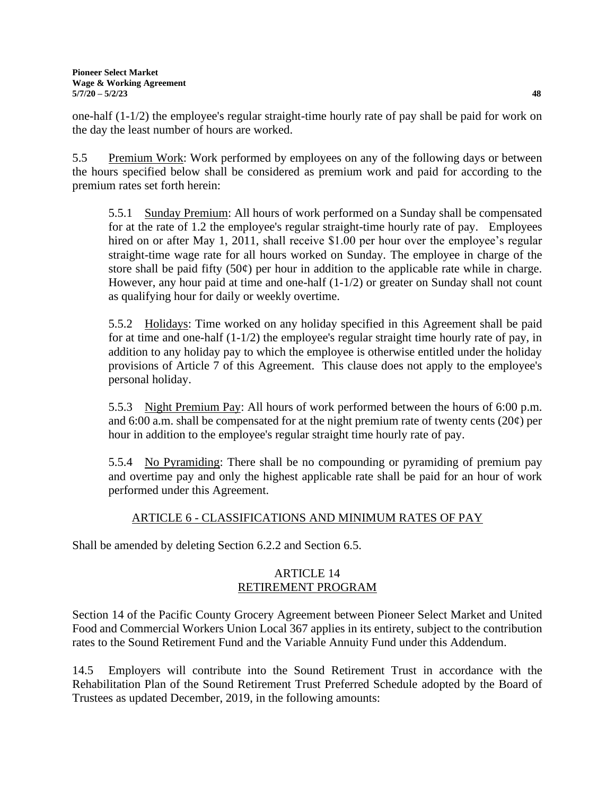one-half (1-1/2) the employee's regular straight-time hourly rate of pay shall be paid for work on the day the least number of hours are worked.

5.5 Premium Work: Work performed by employees on any of the following days or between the hours specified below shall be considered as premium work and paid for according to the premium rates set forth herein:

5.5.1 Sunday Premium: All hours of work performed on a Sunday shall be compensated for at the rate of 1.2 the employee's regular straight-time hourly rate of pay. Employees hired on or after May 1, 2011, shall receive \$1.00 per hour over the employee's regular straight-time wage rate for all hours worked on Sunday. The employee in charge of the store shall be paid fifty  $(50¢)$  per hour in addition to the applicable rate while in charge. However, any hour paid at time and one-half (1-1/2) or greater on Sunday shall not count as qualifying hour for daily or weekly overtime.

5.5.2 Holidays: Time worked on any holiday specified in this Agreement shall be paid for at time and one-half (1-1/2) the employee's regular straight time hourly rate of pay, in addition to any holiday pay to which the employee is otherwise entitled under the holiday provisions of Article 7 of this Agreement. This clause does not apply to the employee's personal holiday.

5.5.3 Night Premium Pay: All hours of work performed between the hours of 6:00 p.m. and 6:00 a.m. shall be compensated for at the night premium rate of twenty cents  $(20¢)$  per hour in addition to the employee's regular straight time hourly rate of pay.

5.5.4 No Pyramiding: There shall be no compounding or pyramiding of premium pay and overtime pay and only the highest applicable rate shall be paid for an hour of work performed under this Agreement.

# ARTICLE 6 - CLASSIFICATIONS AND MINIMUM RATES OF PAY

Shall be amended by deleting Section 6.2.2 and Section 6.5.

# ARTICLE 14 RETIREMENT PROGRAM

Section 14 of the Pacific County Grocery Agreement between Pioneer Select Market and United Food and Commercial Workers Union Local 367 applies in its entirety, subject to the contribution rates to the Sound Retirement Fund and the Variable Annuity Fund under this Addendum.

14.5 Employers will contribute into the Sound Retirement Trust in accordance with the Rehabilitation Plan of the Sound Retirement Trust Preferred Schedule adopted by the Board of Trustees as updated December, 2019, in the following amounts: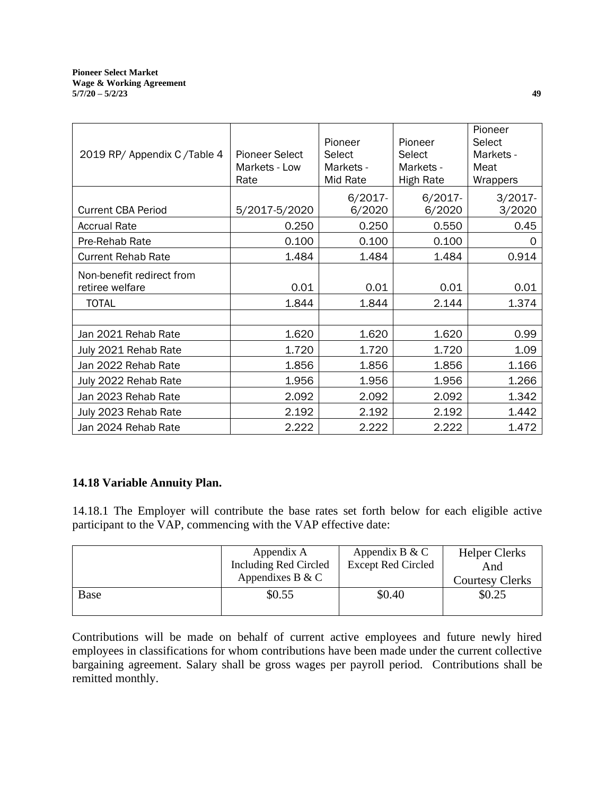| 2019 RP/ Appendix C/Table 4                  | <b>Pioneer Select</b><br>Markets - Low<br>Rate | Pioneer<br>Pioneer<br>Select<br>Select<br>Markets -<br>Markets -<br>Mid Rate<br><b>High Rate</b> |                      | Pioneer<br><b>Select</b><br>Markets -<br>Meat<br>Wrappers |  |
|----------------------------------------------|------------------------------------------------|--------------------------------------------------------------------------------------------------|----------------------|-----------------------------------------------------------|--|
| <b>Current CBA Period</b>                    | 5/2017-5/2020                                  | $6/2017 -$<br>6/2020                                                                             | $6/2017 -$<br>6/2020 | $3/2017 -$<br>3/2020                                      |  |
| <b>Accrual Rate</b>                          | 0.250                                          | 0.250                                                                                            | 0.550                | 0.45                                                      |  |
| Pre-Rehab Rate                               | 0.100                                          | 0.100                                                                                            | 0.100                | 0                                                         |  |
| <b>Current Rehab Rate</b>                    | 1.484                                          | 1.484                                                                                            | 1.484                | 0.914                                                     |  |
| Non-benefit redirect from<br>retiree welfare | 0.01                                           | 0.01                                                                                             | 0.01                 | 0.01                                                      |  |
| <b>TOTAL</b>                                 | 1.844                                          | 1.844                                                                                            | 2.144                | 1.374                                                     |  |
|                                              |                                                |                                                                                                  |                      |                                                           |  |
| Jan 2021 Rehab Rate                          | 1.620                                          | 1.620                                                                                            | 1.620                | 0.99                                                      |  |
| July 2021 Rehab Rate                         | 1.720                                          | 1.720                                                                                            | 1.720                | 1.09                                                      |  |
| Jan 2022 Rehab Rate                          | 1.856                                          | 1.856                                                                                            | 1.856                | 1.166                                                     |  |
| July 2022 Rehab Rate                         | 1.956                                          | 1.956                                                                                            | 1.956                | 1.266                                                     |  |
| Jan 2023 Rehab Rate                          | 2.092                                          | 2.092                                                                                            | 2.092                | 1.342                                                     |  |
| July 2023 Rehab Rate                         | 2.192                                          | 2.192                                                                                            | 2.192                | 1.442                                                     |  |
| Jan 2024 Rehab Rate                          | 2.222                                          | 2.222                                                                                            | 2.222                | 1.472                                                     |  |

# **14.18 Variable Annuity Plan.**

14.18.1 The Employer will contribute the base rates set forth below for each eligible active participant to the VAP, commencing with the VAP effective date:

|      | Appendix A<br>Including Red Circled<br>Appendixes B & C | Appendix B & C<br><b>Except Red Circled</b> | <b>Helper Clerks</b><br>And<br><b>Courtesy Clerks</b> |
|------|---------------------------------------------------------|---------------------------------------------|-------------------------------------------------------|
| Base | \$0.55                                                  | \$0.40                                      | \$0.25                                                |

Contributions will be made on behalf of current active employees and future newly hired employees in classifications for whom contributions have been made under the current collective bargaining agreement. Salary shall be gross wages per payroll period. Contributions shall be remitted monthly.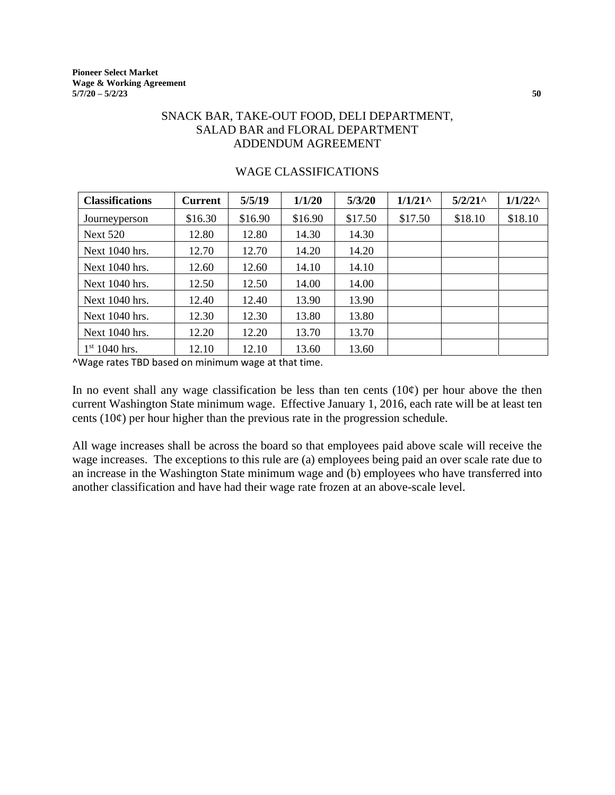# SNACK BAR, TAKE-OUT FOOD, DELI DEPARTMENT, SALAD BAR and FLORAL DEPARTMENT ADDENDUM AGREEMENT

| <b>Classifications</b> | <b>Current</b> | 5/5/19  | 1/1/20  | 5/3/20  | $1/1/21$ <sup><math>\wedge</math></sup> | $5/2/21$ ^ | $1/1/22^{\wedge}$ |
|------------------------|----------------|---------|---------|---------|-----------------------------------------|------------|-------------------|
| Journeyperson          | \$16.30        | \$16.90 | \$16.90 | \$17.50 | \$17.50                                 | \$18.10    | \$18.10           |
| <b>Next 520</b>        | 12.80          | 12.80   | 14.30   | 14.30   |                                         |            |                   |
| Next 1040 hrs.         | 12.70          | 12.70   | 14.20   | 14.20   |                                         |            |                   |
| Next 1040 hrs.         | 12.60          | 12.60   | 14.10   | 14.10   |                                         |            |                   |
| Next 1040 hrs.         | 12.50          | 12.50   | 14.00   | 14.00   |                                         |            |                   |
| Next 1040 hrs.         | 12.40          | 12.40   | 13.90   | 13.90   |                                         |            |                   |
| Next 1040 hrs.         | 12.30          | 12.30   | 13.80   | 13.80   |                                         |            |                   |
| Next 1040 hrs.         | 12.20          | 12.20   | 13.70   | 13.70   |                                         |            |                   |
| $1st 1040$ hrs.        | 12.10          | 12.10   | 13.60   | 13.60   |                                         |            |                   |

#### WAGE CLASSIFICATIONS

^Wage rates TBD based on minimum wage at that time.

In no event shall any wage classification be less than ten cents  $(10¢)$  per hour above the then current Washington State minimum wage. Effective January 1, 2016, each rate will be at least ten cents  $(10¢)$  per hour higher than the previous rate in the progression schedule.

All wage increases shall be across the board so that employees paid above scale will receive the wage increases. The exceptions to this rule are (a) employees being paid an over scale rate due to an increase in the Washington State minimum wage and (b) employees who have transferred into another classification and have had their wage rate frozen at an above-scale level.